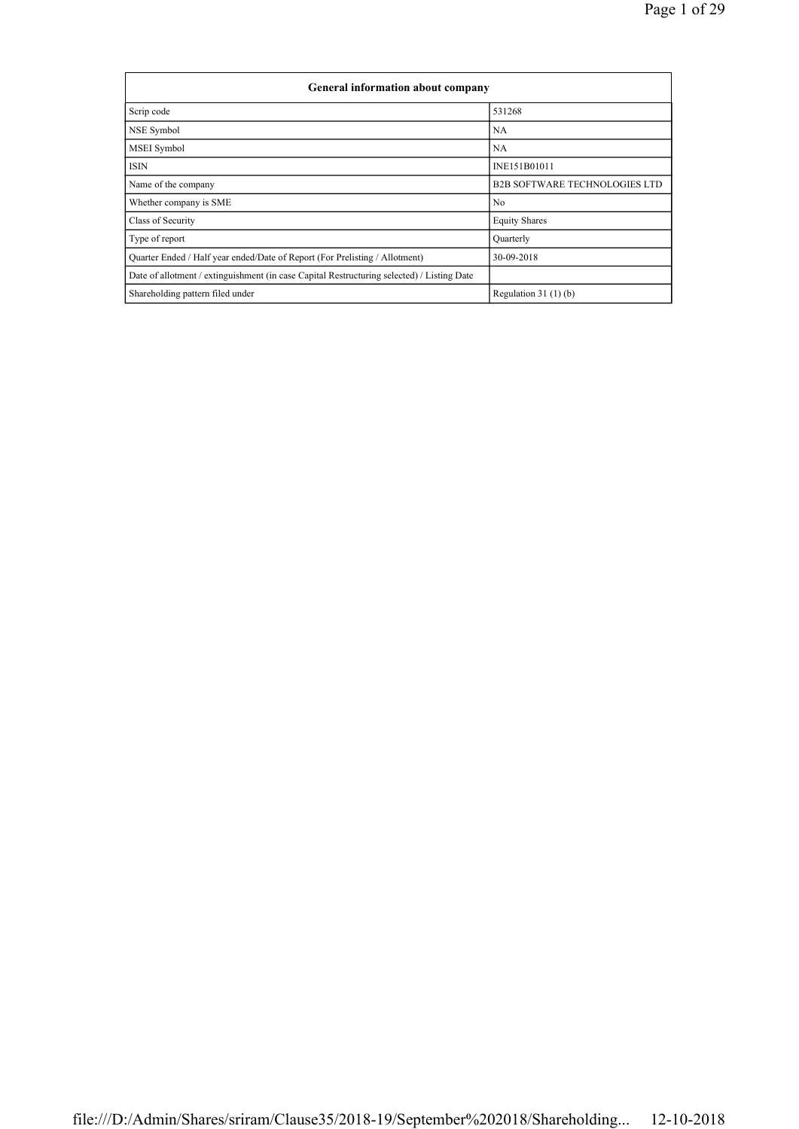| General information about company                                                          |                                      |  |  |  |  |  |  |
|--------------------------------------------------------------------------------------------|--------------------------------------|--|--|--|--|--|--|
| Scrip code                                                                                 | 531268                               |  |  |  |  |  |  |
| NSE Symbol                                                                                 | <b>NA</b>                            |  |  |  |  |  |  |
| MSEI Symbol                                                                                | <b>NA</b>                            |  |  |  |  |  |  |
| ISIN                                                                                       | INE151B01011                         |  |  |  |  |  |  |
| Name of the company                                                                        | <b>B2B SOFTWARE TECHNOLOGIES LTD</b> |  |  |  |  |  |  |
| Whether company is SME                                                                     | No                                   |  |  |  |  |  |  |
| Class of Security                                                                          | <b>Equity Shares</b>                 |  |  |  |  |  |  |
| Type of report                                                                             | Quarterly                            |  |  |  |  |  |  |
| Quarter Ended / Half year ended/Date of Report (For Prelisting / Allotment)                | 30-09-2018                           |  |  |  |  |  |  |
| Date of allotment / extinguishment (in case Capital Restructuring selected) / Listing Date |                                      |  |  |  |  |  |  |
| Shareholding pattern filed under                                                           | Regulation $31(1)(b)$                |  |  |  |  |  |  |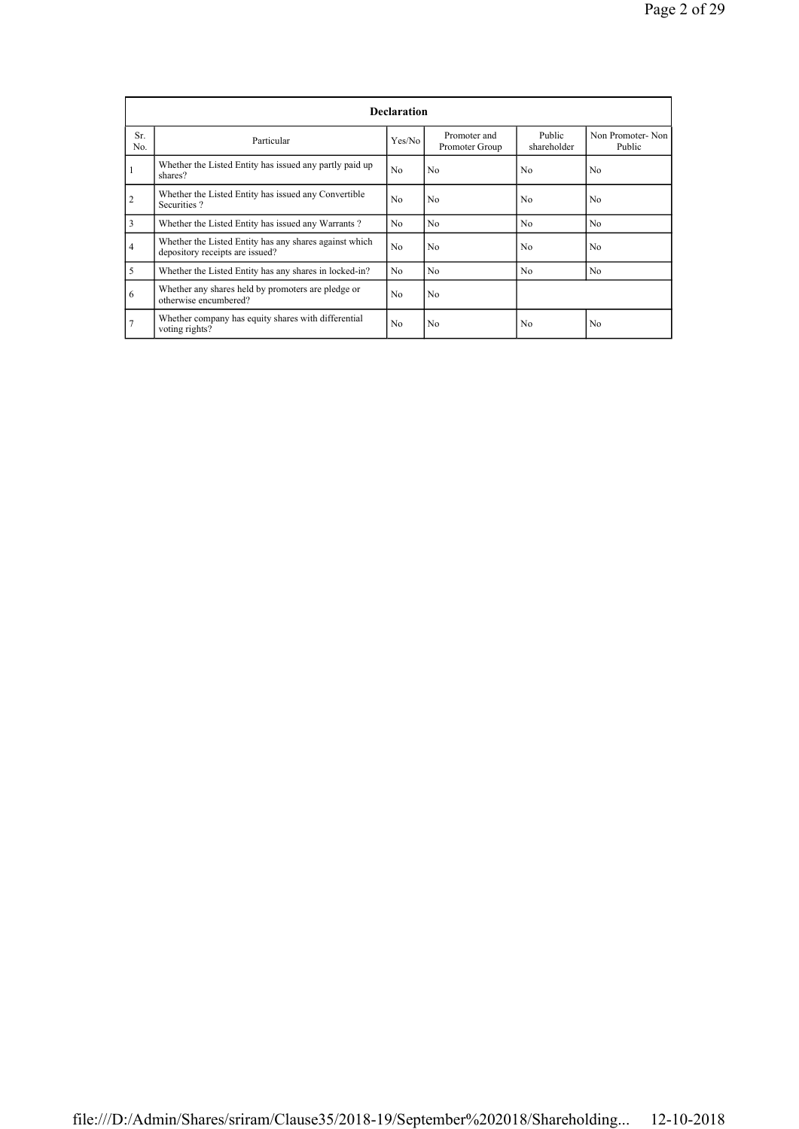|                | <b>Declaration</b>                                                                        |                |                                |                       |                            |  |  |  |  |  |
|----------------|-------------------------------------------------------------------------------------------|----------------|--------------------------------|-----------------------|----------------------------|--|--|--|--|--|
| Sr.<br>No.     | Particular                                                                                | Yes/No         | Promoter and<br>Promoter Group | Public<br>shareholder | Non Promoter-Non<br>Public |  |  |  |  |  |
|                | Whether the Listed Entity has issued any partly paid up<br>shares?                        | N <sub>0</sub> | N <sub>0</sub>                 | N <sub>0</sub>        | No                         |  |  |  |  |  |
| $\overline{2}$ | Whether the Listed Entity has issued any Convertible<br>Securities?                       | No.            | N <sub>0</sub>                 | No                    | No                         |  |  |  |  |  |
| 3              | Whether the Listed Entity has issued any Warrants?                                        | No.            | N <sub>0</sub>                 | N <sub>0</sub>        | No.                        |  |  |  |  |  |
| $\overline{4}$ | Whether the Listed Entity has any shares against which<br>depository receipts are issued? | No.            | N <sub>0</sub>                 | No.                   | No                         |  |  |  |  |  |
| 5              | Whether the Listed Entity has any shares in locked-in?                                    | N <sub>0</sub> | N <sub>0</sub>                 | N <sub>0</sub>        | N <sub>o</sub>             |  |  |  |  |  |
| 6              | Whether any shares held by promoters are pledge or<br>otherwise encumbered?               | No             | N <sub>0</sub>                 |                       |                            |  |  |  |  |  |
| $\overline{7}$ | Whether company has equity shares with differential<br>voting rights?                     | No             | No                             | No                    | No                         |  |  |  |  |  |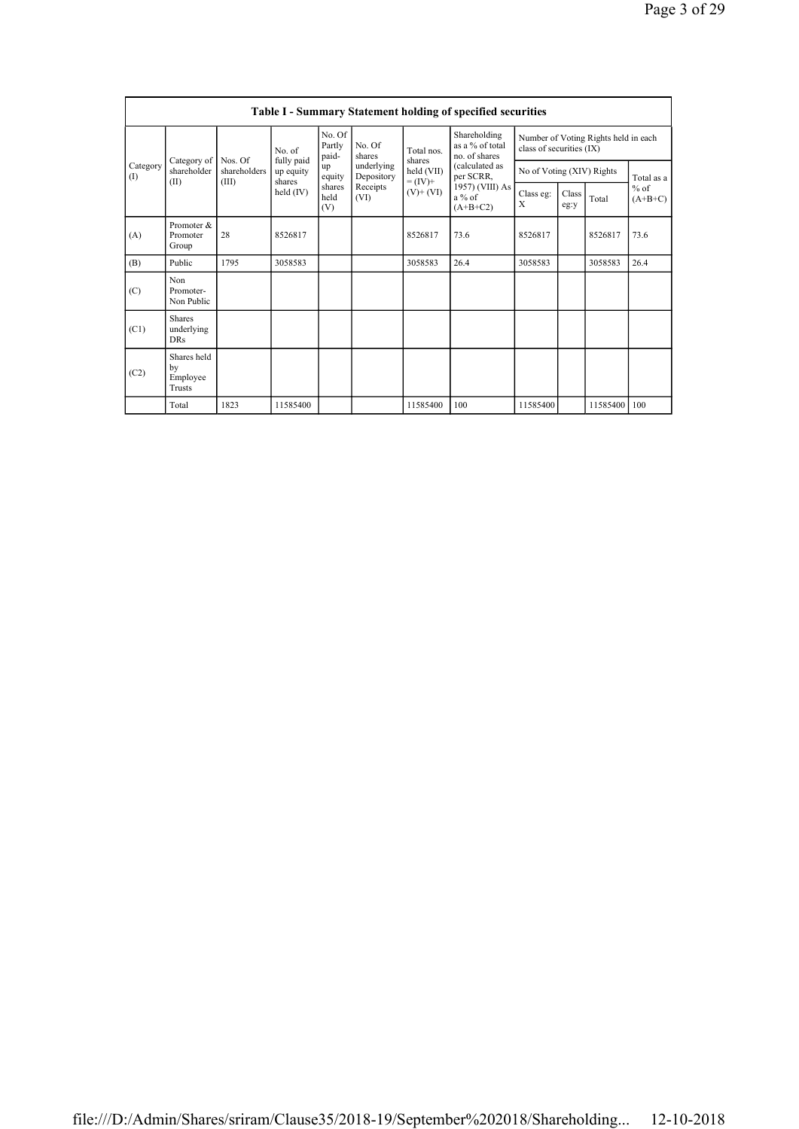|                         | <b>Table I - Summary Statement holding of specified securities</b> |                                  |                                                            |                                                                    |                                                                  |                                                                    |                                                                                                                                |                                                                  |               |                |                                   |
|-------------------------|--------------------------------------------------------------------|----------------------------------|------------------------------------------------------------|--------------------------------------------------------------------|------------------------------------------------------------------|--------------------------------------------------------------------|--------------------------------------------------------------------------------------------------------------------------------|------------------------------------------------------------------|---------------|----------------|-----------------------------------|
| Category<br>(I)<br>(II) |                                                                    | Nos. Of<br>shareholders<br>(III) | No. of<br>fully paid<br>up equity<br>shares<br>held $(IV)$ | No. Of<br>Partly<br>paid-<br>up<br>equity<br>shares<br>held<br>(V) | No. Of<br>shares<br>underlying<br>Depository<br>Receipts<br>(VI) | Total nos.<br>shares<br>held (VII)<br>$= (IV) +$<br>$(V)$ + $(VI)$ | Shareholding<br>as a $%$ of total<br>no. of shares<br>(calculated as<br>per SCRR,<br>1957) (VIII) As<br>$a\%$ of<br>$(A+B+C2)$ | Number of Voting Rights held in each<br>class of securities (IX) |               |                |                                   |
|                         | Category of<br>shareholder                                         |                                  |                                                            |                                                                    |                                                                  |                                                                    |                                                                                                                                | No of Voting (XIV) Rights                                        |               |                | Total as a<br>$%$ of<br>$(A+B+C)$ |
|                         |                                                                    |                                  |                                                            |                                                                    |                                                                  |                                                                    |                                                                                                                                | Class eg:<br>X                                                   | Class<br>eg:y | Total          |                                   |
| (A)                     | Promoter &<br>Promoter<br>Group                                    | 28                               | 8526817                                                    |                                                                    |                                                                  | 8526817                                                            | 73.6                                                                                                                           | 8526817                                                          |               | 8526817        | 73.6                              |
| (B)                     | Public                                                             | 1795                             | 3058583                                                    |                                                                    |                                                                  | 3058583                                                            | 26.4                                                                                                                           | 3058583                                                          |               | 3058583        | 26.4                              |
| (C)                     | <b>Non</b><br>Promoter-<br>Non Public                              |                                  |                                                            |                                                                    |                                                                  |                                                                    |                                                                                                                                |                                                                  |               |                |                                   |
| (C1)                    | <b>Shares</b><br>underlying<br><b>DRs</b>                          |                                  |                                                            |                                                                    |                                                                  |                                                                    |                                                                                                                                |                                                                  |               |                |                                   |
| (C2)                    | Shares held<br>by<br>Employee<br>Trusts                            |                                  |                                                            |                                                                    |                                                                  |                                                                    |                                                                                                                                |                                                                  |               |                |                                   |
|                         | Total                                                              | 1823                             | 11585400                                                   |                                                                    |                                                                  | 11585400                                                           | 100                                                                                                                            | 11585400                                                         |               | 11585400   100 |                                   |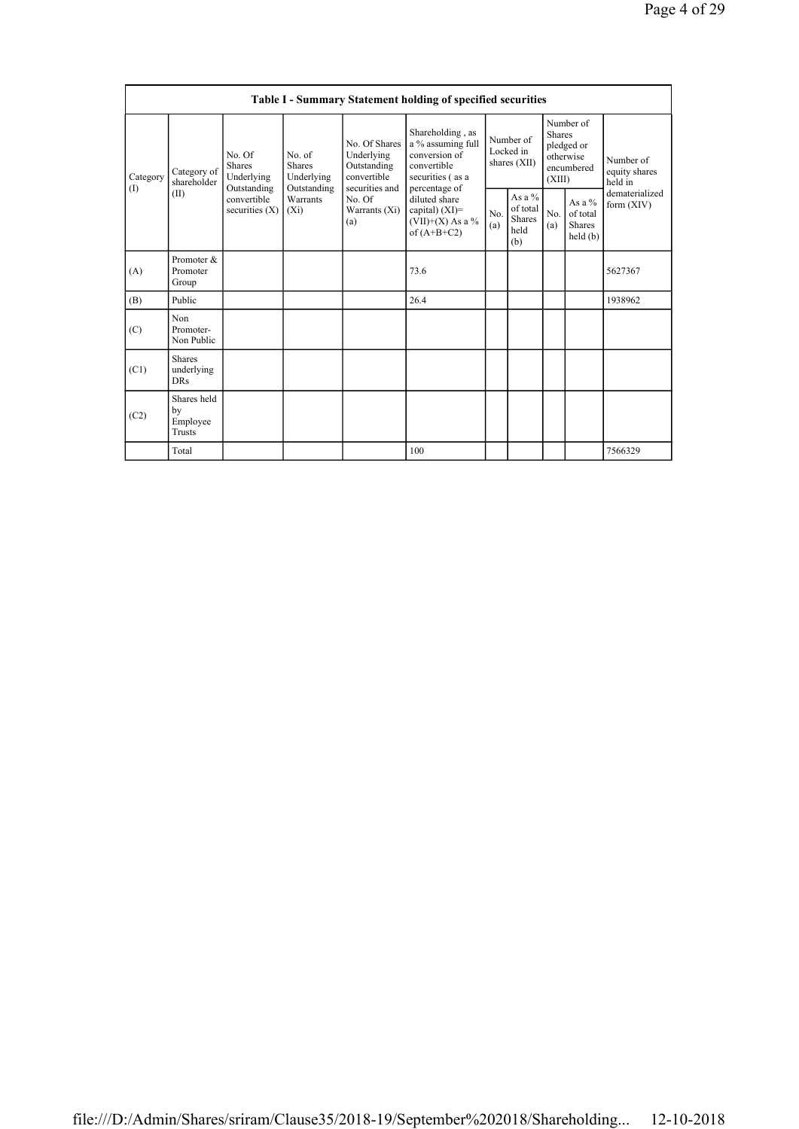|                 | <b>Table I - Summary Statement holding of specified securities</b> |                                                                                         |                                                                             |                                                                                                               |                                                                                                                                                                                      |                                        |                                                      |                                                                               |                                                  |                                       |
|-----------------|--------------------------------------------------------------------|-----------------------------------------------------------------------------------------|-----------------------------------------------------------------------------|---------------------------------------------------------------------------------------------------------------|--------------------------------------------------------------------------------------------------------------------------------------------------------------------------------------|----------------------------------------|------------------------------------------------------|-------------------------------------------------------------------------------|--------------------------------------------------|---------------------------------------|
| Category<br>(1) | Category of<br>shareholder<br>(II)                                 | No. Of<br><b>Shares</b><br>Underlying<br>Outstanding<br>convertible<br>securities $(X)$ | No. of<br><b>Shares</b><br>Underlying<br>Outstanding<br>Warrants<br>$(X_i)$ | No. Of Shares<br>Underlying<br>Outstanding<br>convertible<br>securities and<br>No. Of<br>Warrants (Xi)<br>(a) | Shareholding, as<br>a % assuming full<br>conversion of<br>convertible<br>securities (as a<br>percentage of<br>diluted share<br>capital) (XI)=<br>$(VII)+(X)$ As a %<br>of $(A+B+C2)$ | Number of<br>Locked in<br>shares (XII) |                                                      | Number of<br><b>Shares</b><br>pledged or<br>otherwise<br>encumbered<br>(XIII) |                                                  | Number of<br>equity shares<br>held in |
|                 |                                                                    |                                                                                         |                                                                             |                                                                                                               |                                                                                                                                                                                      | No.<br>(a)                             | As a $%$<br>of total<br><b>Shares</b><br>held<br>(b) | No.<br>(a)                                                                    | As a $%$<br>of total<br><b>Shares</b><br>held(b) | dematerialized<br>form (XIV)          |
| (A)             | Promoter &<br>Promoter<br>Group                                    |                                                                                         |                                                                             |                                                                                                               | 73.6                                                                                                                                                                                 |                                        |                                                      |                                                                               |                                                  | 5627367                               |
| (B)             | Public                                                             |                                                                                         |                                                                             |                                                                                                               | 26.4                                                                                                                                                                                 |                                        |                                                      |                                                                               |                                                  | 1938962                               |
| (C)             | Non<br>Promoter-<br>Non Public                                     |                                                                                         |                                                                             |                                                                                                               |                                                                                                                                                                                      |                                        |                                                      |                                                                               |                                                  |                                       |
| (C1)            | <b>Shares</b><br>underlying<br><b>DRs</b>                          |                                                                                         |                                                                             |                                                                                                               |                                                                                                                                                                                      |                                        |                                                      |                                                                               |                                                  |                                       |
| (C2)            | Shares held<br>by<br>Employee<br>Trusts                            |                                                                                         |                                                                             |                                                                                                               |                                                                                                                                                                                      |                                        |                                                      |                                                                               |                                                  |                                       |
|                 | Total                                                              |                                                                                         |                                                                             |                                                                                                               | 100                                                                                                                                                                                  |                                        |                                                      |                                                                               |                                                  | 7566329                               |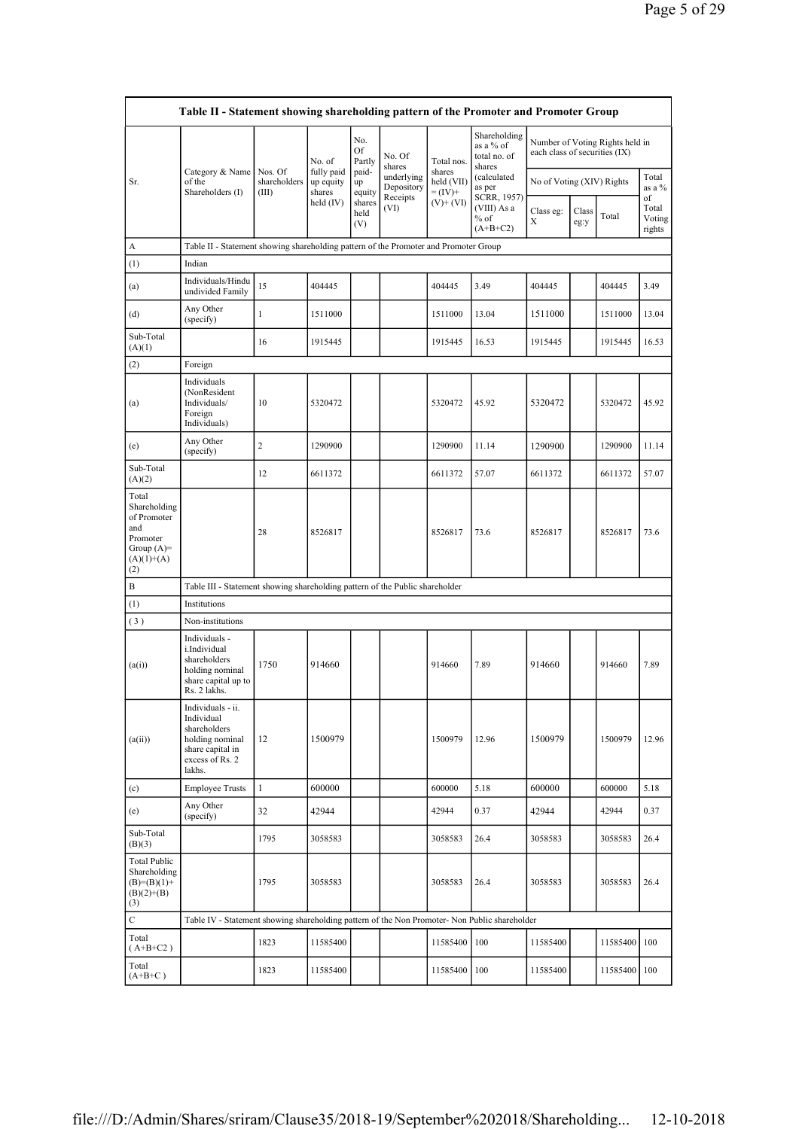| Table II - Statement showing shareholding pattern of the Promoter and Promoter Group           |                                                                                                                        |                                                                                      |                          |                                    |                       |                           |                                                     |                               |                 |                                 |                                 |  |
|------------------------------------------------------------------------------------------------|------------------------------------------------------------------------------------------------------------------------|--------------------------------------------------------------------------------------|--------------------------|------------------------------------|-----------------------|---------------------------|-----------------------------------------------------|-------------------------------|-----------------|---------------------------------|---------------------------------|--|
|                                                                                                |                                                                                                                        |                                                                                      | No. of                   | No.<br>Of<br>Partly                | No. Of<br>shares      | Total nos.                | Shareholding<br>as a % of<br>total no. of<br>shares | each class of securities (IX) |                 | Number of Voting Rights held in |                                 |  |
| Sr.                                                                                            | fully paid<br>Category & Name<br>Nos. Of<br>shareholders<br>of the<br>up equity<br>Shareholders (I)<br>shares<br>(III) | paid-<br>up<br>equity                                                                | underlying<br>Depository | shares<br>held (VII)<br>$= (IV) +$ | (calculated<br>as per | No of Voting (XIV) Rights |                                                     |                               | Total<br>as a % |                                 |                                 |  |
|                                                                                                |                                                                                                                        |                                                                                      | held (IV)                | shares<br>held<br>(V)              | Receipts<br>(VI)      | $(V)$ + $(VI)$            | SCRR, 1957)<br>(VIII) As a<br>$%$ of<br>$(A+B+C2)$  | Class eg:<br>X                | Class<br>eg:y   | Total                           | of<br>Total<br>Voting<br>rights |  |
| A                                                                                              |                                                                                                                        | Table II - Statement showing shareholding pattern of the Promoter and Promoter Group |                          |                                    |                       |                           |                                                     |                               |                 |                                 |                                 |  |
| (1)                                                                                            | Indian                                                                                                                 |                                                                                      |                          |                                    |                       |                           |                                                     |                               |                 |                                 |                                 |  |
| (a)                                                                                            | Individuals/Hindu<br>undivided Family                                                                                  | 15                                                                                   | 404445                   |                                    |                       | 404445                    | 3.49                                                | 404445                        |                 | 404445                          | 3.49                            |  |
| (d)                                                                                            | Any Other<br>(specify)                                                                                                 | 1                                                                                    | 1511000                  |                                    |                       | 1511000                   | 13.04                                               | 1511000                       |                 | 1511000                         | 13.04                           |  |
| Sub-Total<br>(A)(1)                                                                            |                                                                                                                        | 16                                                                                   | 1915445                  |                                    |                       | 1915445                   | 16.53                                               | 1915445                       |                 | 1915445                         | 16.53                           |  |
| (2)                                                                                            | Foreign                                                                                                                |                                                                                      |                          |                                    |                       |                           |                                                     |                               |                 |                                 |                                 |  |
| (a)                                                                                            | Individuals<br>(NonResident<br>Individuals/<br>Foreign<br>Individuals)                                                 | 10                                                                                   | 5320472                  |                                    |                       | 5320472                   | 45.92                                               | 5320472                       |                 | 5320472                         | 45.92                           |  |
| (e)                                                                                            | Any Other<br>(specify)                                                                                                 | $\overline{2}$                                                                       | 1290900                  |                                    |                       | 1290900                   | 11.14                                               | 1290900                       |                 | 1290900                         | 11.14                           |  |
| Sub-Total<br>(A)(2)                                                                            |                                                                                                                        | 12                                                                                   | 6611372                  |                                    |                       | 6611372                   | 57.07                                               | 6611372                       |                 | 6611372                         | 57.07                           |  |
| Total<br>Shareholding<br>of Promoter<br>and<br>Promoter<br>Group $(A)=$<br>$(A)(1)+(A)$<br>(2) |                                                                                                                        | 28                                                                                   | 8526817                  |                                    |                       | 8526817                   | 73.6                                                | 8526817                       |                 | 8526817                         | 73.6                            |  |
| B                                                                                              | Table III - Statement showing shareholding pattern of the Public shareholder                                           |                                                                                      |                          |                                    |                       |                           |                                                     |                               |                 |                                 |                                 |  |
| (1)                                                                                            | Institutions                                                                                                           |                                                                                      |                          |                                    |                       |                           |                                                     |                               |                 |                                 |                                 |  |
| (3)                                                                                            | Non-institutions                                                                                                       |                                                                                      |                          |                                    |                       |                           |                                                     |                               |                 |                                 |                                 |  |
| (a(i))                                                                                         | Individuals -<br>i.Individual<br>shareholders<br>holding nominal<br>share capital up to<br>Rs. 2 lakhs.                | 1750                                                                                 | 914660                   |                                    |                       | 914660                    | 7.89                                                | 914660                        |                 | 914660                          | 7.89                            |  |
| (a(ii))                                                                                        | Individuals - ii.<br>Individual<br>shareholders<br>holding nominal<br>share capital in<br>excess of Rs. 2<br>lakhs.    | 12                                                                                   | 1500979                  |                                    |                       | 1500979                   | 12.96                                               | 1500979                       |                 | 1500979                         | 12.96                           |  |
| (c)                                                                                            | <b>Employee Trusts</b>                                                                                                 | 1                                                                                    | 600000                   |                                    |                       | 600000                    | 5.18                                                | 600000                        |                 | 600000                          | 5.18                            |  |
| (e)                                                                                            | Any Other<br>(specify)                                                                                                 | 32                                                                                   | 42944                    |                                    |                       | 42944                     | 0.37                                                | 42944                         |                 | 42944                           | 0.37                            |  |
| Sub-Total<br>(B)(3)                                                                            |                                                                                                                        | 1795                                                                                 | 3058583                  |                                    |                       | 3058583                   | 26.4                                                | 3058583                       |                 | 3058583                         | 26.4                            |  |
| <b>Total Public</b><br>Shareholding<br>$(B)= (B)(1) +$<br>$(B)(2)+(B)$<br>(3)                  |                                                                                                                        | 1795                                                                                 | 3058583                  |                                    |                       | 3058583                   | 26.4                                                | 3058583                       |                 | 3058583                         | 26.4                            |  |
| C                                                                                              | Table IV - Statement showing shareholding pattern of the Non Promoter- Non Public shareholder                          |                                                                                      |                          |                                    |                       |                           |                                                     |                               |                 |                                 |                                 |  |
| Total<br>$(A+B+C2)$                                                                            |                                                                                                                        | 1823                                                                                 | 11585400                 |                                    |                       | 11585400                  | 100                                                 | 11585400                      |                 | 11585400                        | l 100                           |  |
| Total<br>$(A+B+C)$                                                                             |                                                                                                                        | 1823                                                                                 | 11585400                 |                                    |                       | 11585400   100            |                                                     | 11585400                      |                 | 11585400 100                    |                                 |  |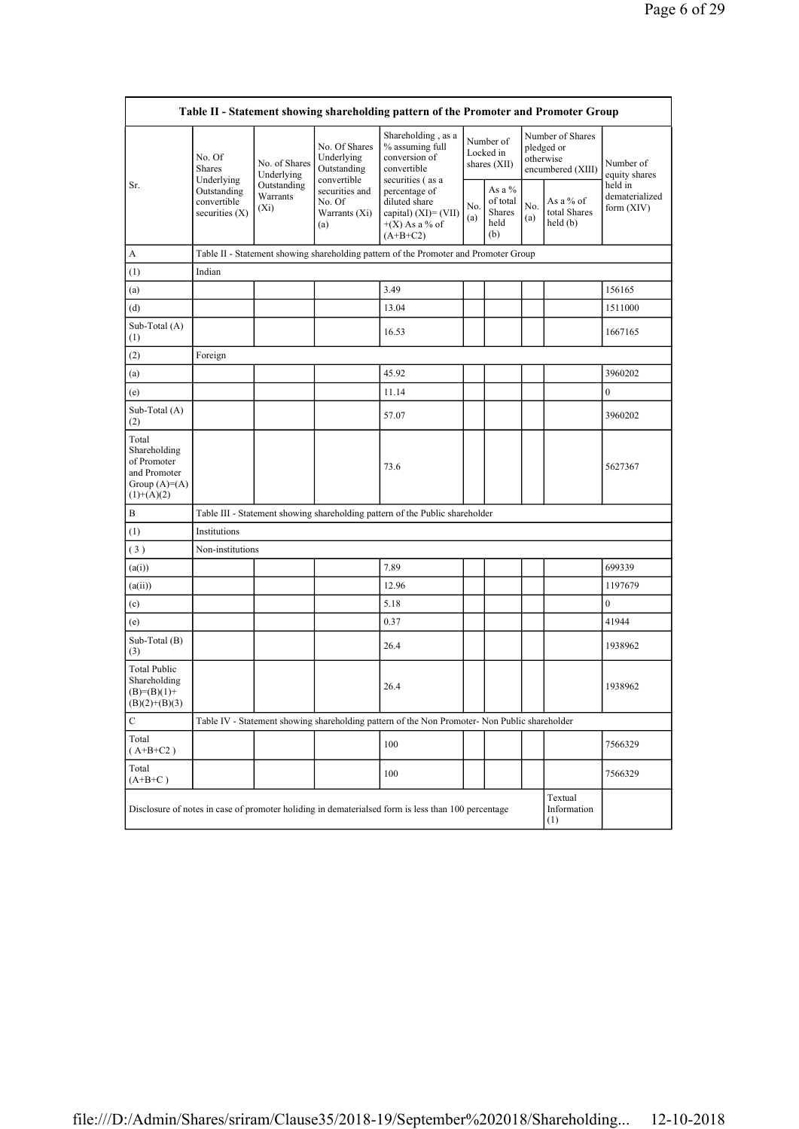| Table II - Statement showing shareholding pattern of the Promoter and Promoter Group      |                                                  |                                                                                             |                                                           |                                                                                                    |            |                                                      |                                         |                                                                  |                            |  |
|-------------------------------------------------------------------------------------------|--------------------------------------------------|---------------------------------------------------------------------------------------------|-----------------------------------------------------------|----------------------------------------------------------------------------------------------------|------------|------------------------------------------------------|-----------------------------------------|------------------------------------------------------------------|----------------------------|--|
|                                                                                           | No. Of<br>Shares<br>Underlying                   | No. of Shares<br>Underlying                                                                 | No. Of Shares<br>Underlying<br>Outstanding<br>convertible | Shareholding, as a<br>% assuming full<br>conversion of<br>convertible<br>securities (as a          |            | Number of<br>Locked in<br>shares (XII)               |                                         | Number of Shares<br>pledged or<br>otherwise<br>encumbered (XIII) | Number of<br>equity shares |  |
| Outstanding<br>Sr.<br>Outstanding<br>Warrants<br>convertible<br>$(X_i)$<br>securities (X) | securities and<br>No. Of<br>Warrants (Xi)<br>(a) | percentage of<br>diluted share<br>capital) $(XI) = (VII)$<br>$+(X)$ As a % of<br>$(A+B+C2)$ | No.<br>(a)                                                | As a %<br>of total<br>Shares<br>held<br>(b)                                                        | No.<br>(a) | As a % of<br>total Shares<br>$\text{held}(\text{b})$ | held in<br>dematerialized<br>form (XIV) |                                                                  |                            |  |
| A                                                                                         |                                                  | Table II - Statement showing shareholding pattern of the Promoter and Promoter Group        |                                                           |                                                                                                    |            |                                                      |                                         |                                                                  |                            |  |
| (1)                                                                                       | Indian                                           |                                                                                             |                                                           |                                                                                                    |            |                                                      |                                         |                                                                  |                            |  |
| (a)                                                                                       |                                                  |                                                                                             |                                                           | 3.49                                                                                               |            |                                                      |                                         |                                                                  | 156165                     |  |
| (d)                                                                                       |                                                  |                                                                                             |                                                           | 13.04                                                                                              |            |                                                      |                                         |                                                                  | 1511000                    |  |
| Sub-Total (A)<br>(1)                                                                      |                                                  |                                                                                             |                                                           | 16.53                                                                                              |            |                                                      |                                         |                                                                  | 1667165                    |  |
| (2)                                                                                       | Foreign                                          |                                                                                             |                                                           |                                                                                                    |            |                                                      |                                         |                                                                  |                            |  |
| (a)                                                                                       |                                                  |                                                                                             |                                                           | 45.92                                                                                              |            |                                                      |                                         |                                                                  | 3960202                    |  |
| (e)                                                                                       |                                                  |                                                                                             |                                                           | 11.14                                                                                              |            |                                                      |                                         |                                                                  | $\overline{0}$             |  |
| Sub-Total (A)<br>(2)                                                                      |                                                  |                                                                                             |                                                           | 57.07                                                                                              |            |                                                      |                                         |                                                                  | 3960202                    |  |
| Total<br>Shareholding<br>of Promoter<br>and Promoter<br>Group $(A)=A)$<br>$(1)+(A)(2)$    |                                                  |                                                                                             |                                                           | 73.6                                                                                               |            |                                                      |                                         |                                                                  | 5627367                    |  |
| B                                                                                         |                                                  |                                                                                             |                                                           | Table III - Statement showing shareholding pattern of the Public shareholder                       |            |                                                      |                                         |                                                                  |                            |  |
| (1)                                                                                       | Institutions                                     |                                                                                             |                                                           |                                                                                                    |            |                                                      |                                         |                                                                  |                            |  |
| (3)                                                                                       | Non-institutions                                 |                                                                                             |                                                           |                                                                                                    |            |                                                      |                                         |                                                                  |                            |  |
| (a(i))                                                                                    |                                                  |                                                                                             |                                                           | 7.89                                                                                               |            |                                                      |                                         |                                                                  | 699339                     |  |
| (a(ii))                                                                                   |                                                  |                                                                                             |                                                           | 12.96                                                                                              |            |                                                      |                                         |                                                                  | 1197679                    |  |
| (c)                                                                                       |                                                  |                                                                                             |                                                           | 5.18                                                                                               |            |                                                      |                                         |                                                                  | $\overline{0}$             |  |
| (e)                                                                                       |                                                  |                                                                                             |                                                           | 0.37                                                                                               |            |                                                      |                                         |                                                                  | 41944                      |  |
| Sub-Total (B)<br>(3)                                                                      |                                                  |                                                                                             |                                                           | 26.4                                                                                               |            |                                                      |                                         |                                                                  | 1938962                    |  |
| <b>Total Public</b><br>Shareholding<br>$(B)=(B)(1)+$<br>$(B)(2)+(B)(3)$                   |                                                  |                                                                                             |                                                           | 26.4                                                                                               |            |                                                      |                                         |                                                                  | 1938962                    |  |
| С                                                                                         |                                                  |                                                                                             |                                                           | Table IV - Statement showing shareholding pattern of the Non Promoter- Non Public shareholder      |            |                                                      |                                         |                                                                  |                            |  |
| Total<br>$(A+B+C2)$                                                                       |                                                  |                                                                                             |                                                           | 100                                                                                                |            |                                                      |                                         |                                                                  | 7566329                    |  |
| Total<br>$(A+B+C)$                                                                        |                                                  |                                                                                             |                                                           | 100                                                                                                |            |                                                      |                                         |                                                                  | 7566329                    |  |
|                                                                                           |                                                  |                                                                                             |                                                           | Disclosure of notes in case of promoter holiding in dematerialsed form is less than 100 percentage |            |                                                      |                                         | Textual<br>Information<br>(1)                                    |                            |  |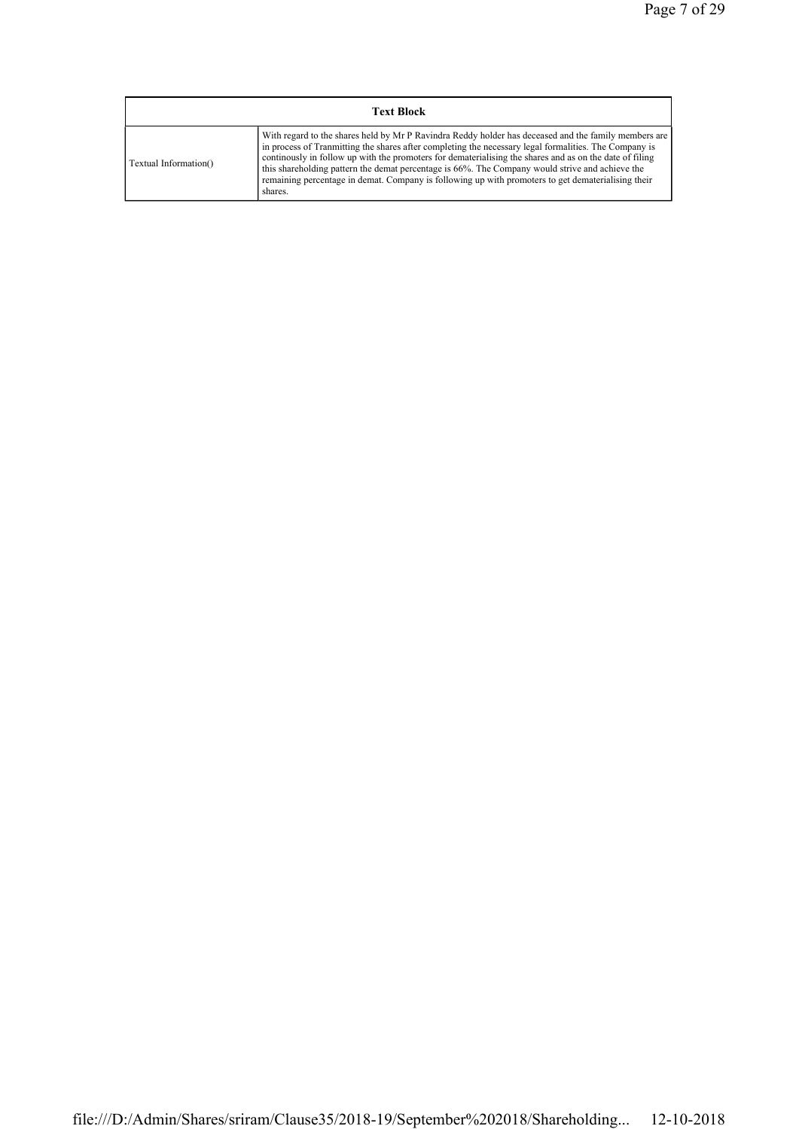| <b>Text Block</b>     |                                                                                                                                                                                                                                                                                                                                                                                                                                                                                                                                               |  |  |  |  |  |  |
|-----------------------|-----------------------------------------------------------------------------------------------------------------------------------------------------------------------------------------------------------------------------------------------------------------------------------------------------------------------------------------------------------------------------------------------------------------------------------------------------------------------------------------------------------------------------------------------|--|--|--|--|--|--|
| Textual Information() | With regard to the shares held by Mr P Ravindra Reddy holder has deceased and the family members are<br>in process of Tranmitting the shares after completing the necessary legal formalities. The Company is<br>continuously in follow up with the promoters for dematerialising the shares and as on the date of filing<br>this shareholding pattern the demat percentage is 66%. The Company would strive and achieve the<br>remaining percentage in demat. Company is following up with promoters to get dematerialising their<br>shares. |  |  |  |  |  |  |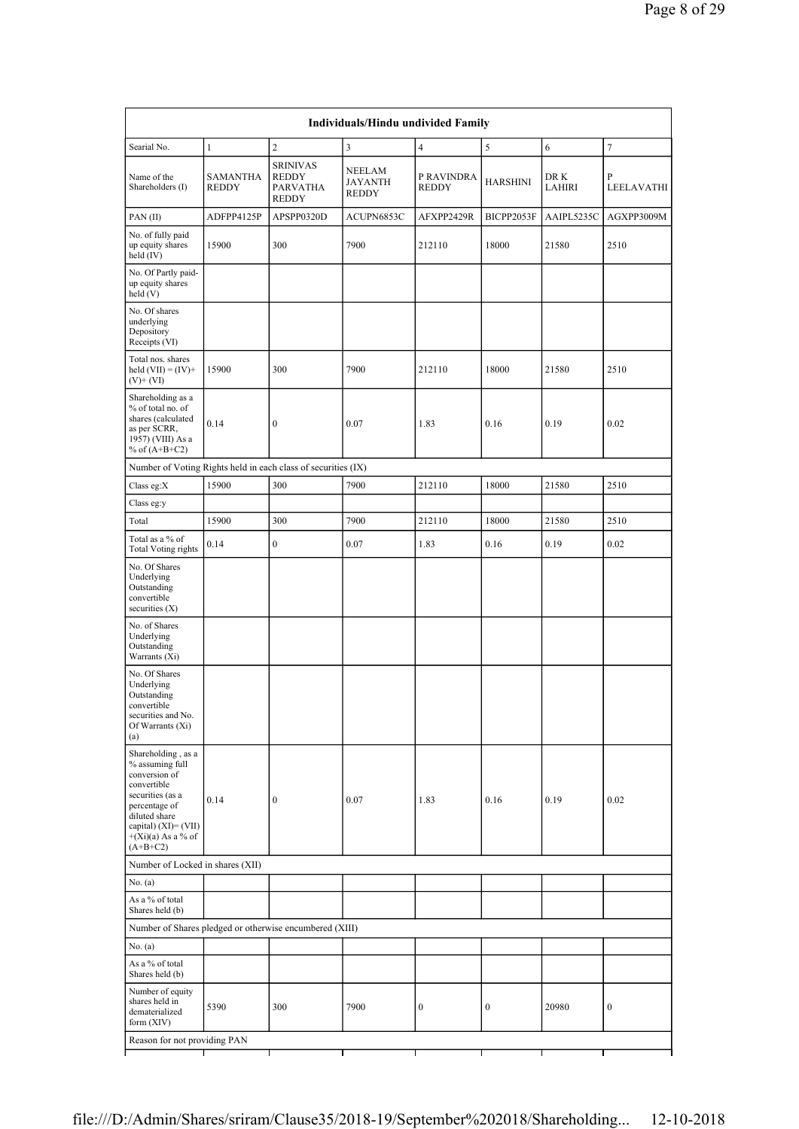| Individuals/Hindu undivided Family                                                                                                                                                           |                                 |                                                                    |                                                 |                     |                  |                |                  |  |
|----------------------------------------------------------------------------------------------------------------------------------------------------------------------------------------------|---------------------------------|--------------------------------------------------------------------|-------------------------------------------------|---------------------|------------------|----------------|------------------|--|
| Searial No.                                                                                                                                                                                  | $\mathbf{1}$                    | $\overline{c}$                                                     | 3                                               | $\overline{4}$      | 5                | 6              | 7                |  |
| Name of the<br>Shareholders (I)                                                                                                                                                              | <b>SAMANTHA</b><br><b>REDDY</b> | <b>SRINIVAS</b><br><b>REDDY</b><br><b>PARVATHA</b><br><b>REDDY</b> | <b>NEELAM</b><br><b>JAYANTH</b><br><b>REDDY</b> | P RAVINDRA<br>REDDY | <b>HARSHINI</b>  | DR K<br>LAHIRI | P<br>LEELAVATHI  |  |
| PAN(II)                                                                                                                                                                                      | ADFPP4125P                      | APSPP0320D                                                         | ACUPN6853C                                      | AFXPP2429R          | BICPP2053F       | AAIPL5235C     | AGXPP3009M       |  |
| No. of fully paid<br>up equity shares<br>held (IV)                                                                                                                                           | 15900                           | 300                                                                | 7900                                            | 212110              | 18000            | 21580          | 2510             |  |
| No. Of Partly paid-<br>up equity shares<br>held (V)                                                                                                                                          |                                 |                                                                    |                                                 |                     |                  |                |                  |  |
| No. Of shares<br>underlying<br>Depository<br>Receipts (VI)                                                                                                                                   |                                 |                                                                    |                                                 |                     |                  |                |                  |  |
| Total nos. shares<br>held $(VII) = (IV) +$<br>(V)+ (VI)                                                                                                                                      | 15900                           | 300                                                                | 7900                                            | 212110              | 18000            | 21580          | 2510             |  |
| Shareholding as a<br>% of total no. of<br>shares (calculated<br>as per SCRR,<br>1957) (VIII) As a<br>% of $(A+B+C2)$                                                                         | 0.14                            | $\boldsymbol{0}$                                                   | 0.07                                            | 1.83                | 0.16             | 0.19           | 0.02             |  |
| Number of Voting Rights held in each class of securities (IX)                                                                                                                                |                                 |                                                                    |                                                 |                     |                  |                |                  |  |
| Class eg:X                                                                                                                                                                                   | 15900                           | 300                                                                | 7900                                            | 212110              | 18000            | 21580          | 2510             |  |
| Class eg:y                                                                                                                                                                                   |                                 |                                                                    |                                                 |                     |                  |                |                  |  |
| Total                                                                                                                                                                                        | 15900                           | 300                                                                | 7900                                            | 212110              | 18000            | 21580          | 2510             |  |
| Total as a % of<br><b>Total Voting rights</b>                                                                                                                                                | 0.14                            | $\boldsymbol{0}$                                                   | 0.07                                            | 1.83                | 0.16             | 0.19           | 0.02             |  |
| No. Of Shares<br>Underlying<br>Outstanding<br>convertible<br>securities $(X)$                                                                                                                |                                 |                                                                    |                                                 |                     |                  |                |                  |  |
| No. of Shares<br>Underlying<br>Outstanding<br>Warrants (Xi)                                                                                                                                  |                                 |                                                                    |                                                 |                     |                  |                |                  |  |
| No. Of Shares<br>Underlying<br>Outstanding<br>convertible<br>securities and No.<br>Of Warrants (Xi)<br>(a)                                                                                   |                                 |                                                                    |                                                 |                     |                  |                |                  |  |
| Shareholding, as a<br>% assuming full<br>conversion of<br>convertible<br>securities (as a<br>percentage of<br>diluted share<br>capital) $(XI) = (VII)$<br>$+(Xi)(a)$ As a % of<br>$(A+B+C2)$ | 0.14                            | $\boldsymbol{0}$                                                   | 0.07                                            | 1.83                | 0.16             | 0.19           | 0.02             |  |
| Number of Locked in shares (XII)                                                                                                                                                             |                                 |                                                                    |                                                 |                     |                  |                |                  |  |
| No. (a)                                                                                                                                                                                      |                                 |                                                                    |                                                 |                     |                  |                |                  |  |
| As a % of total<br>Shares held (b)                                                                                                                                                           |                                 |                                                                    |                                                 |                     |                  |                |                  |  |
| Number of Shares pledged or otherwise encumbered (XIII)                                                                                                                                      |                                 |                                                                    |                                                 |                     |                  |                |                  |  |
| No. (a)                                                                                                                                                                                      |                                 |                                                                    |                                                 |                     |                  |                |                  |  |
| As a % of total<br>Shares held (b)                                                                                                                                                           |                                 |                                                                    |                                                 |                     |                  |                |                  |  |
| Number of equity<br>shares held in<br>dematerialized<br>form (XIV)                                                                                                                           | 5390                            | 300                                                                | 7900                                            | 0                   | $\boldsymbol{0}$ | 20980          | $\boldsymbol{0}$ |  |
| Reason for not providing PAN                                                                                                                                                                 |                                 |                                                                    |                                                 |                     |                  |                |                  |  |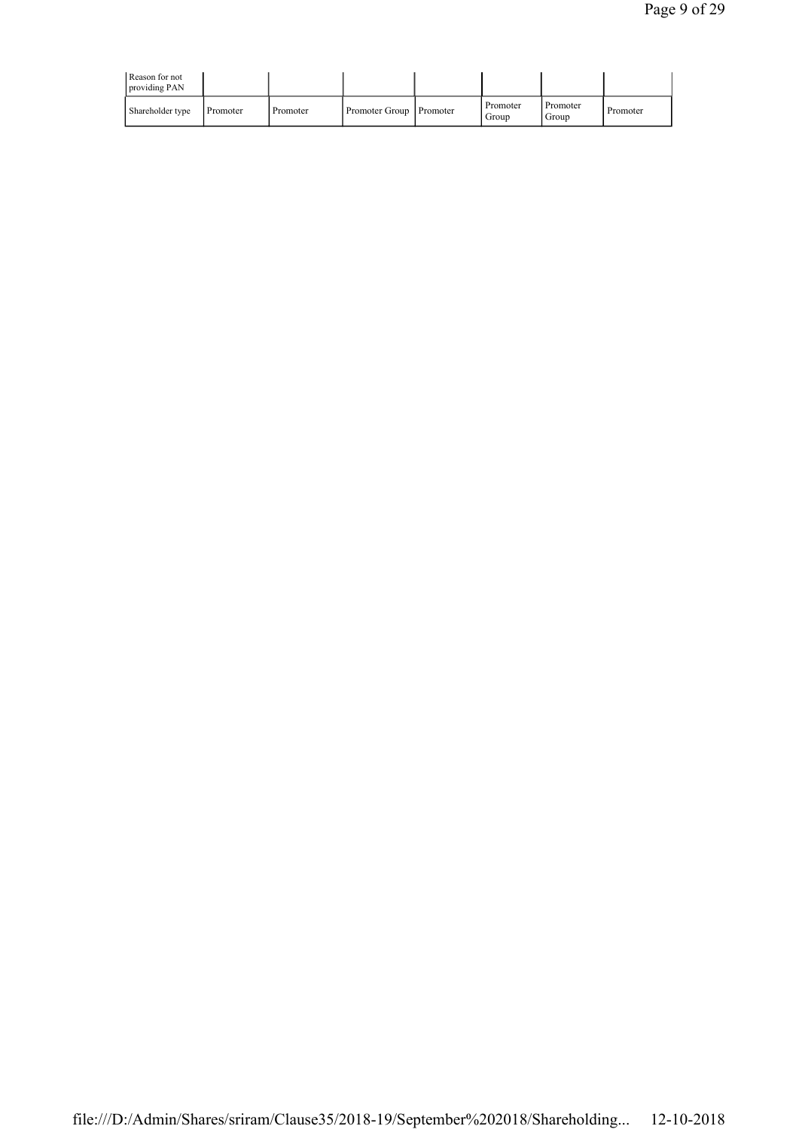| Reason for not<br>providing PAN |          |          |                           |                   |                   |          |
|---------------------------------|----------|----------|---------------------------|-------------------|-------------------|----------|
| Shareholder type                | Promoter | Promoter | Promoter Group   Promoter | Promoter<br>Group | Promoter<br>Group | Promoter |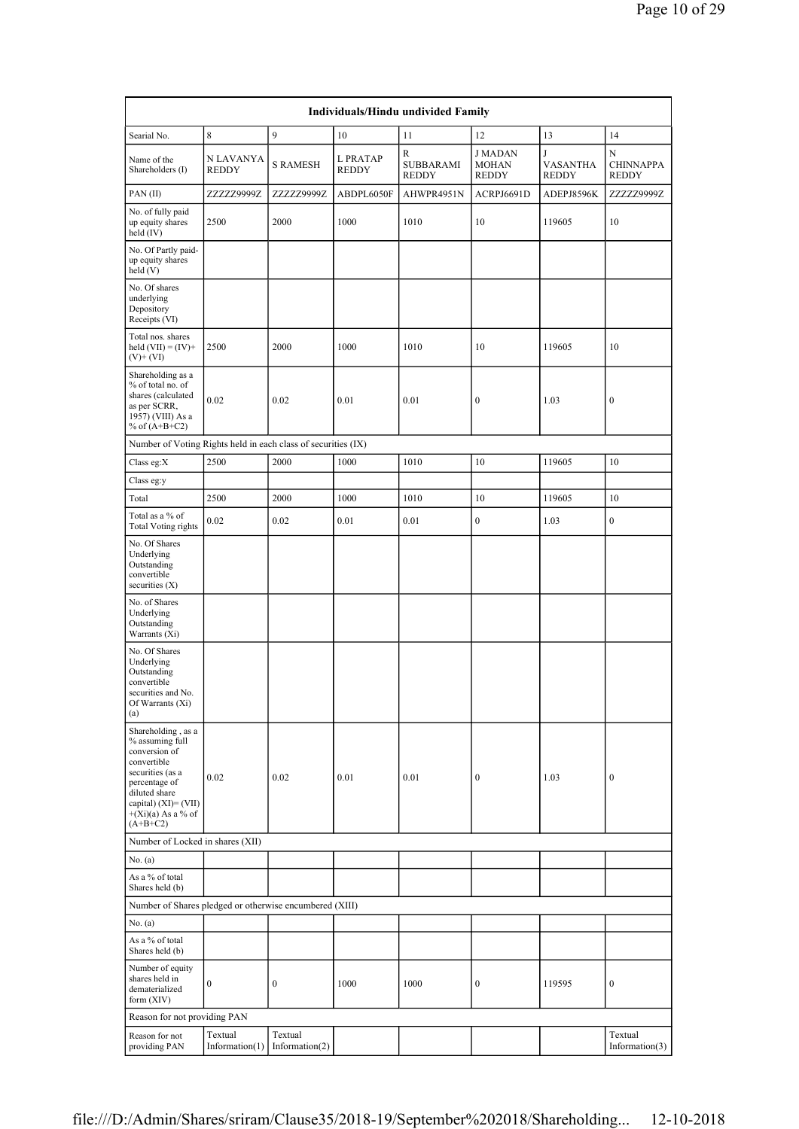| Individuals/Hindu undivided Family                                                                                                                                                           |                              |                              |                   |                                |                                                |                                      |                                       |  |
|----------------------------------------------------------------------------------------------------------------------------------------------------------------------------------------------|------------------------------|------------------------------|-------------------|--------------------------------|------------------------------------------------|--------------------------------------|---------------------------------------|--|
| Searial No.                                                                                                                                                                                  | 8                            | 9                            | 10                | 11                             | 12                                             | 13                                   | 14                                    |  |
| Name of the<br>Shareholders (I)                                                                                                                                                              | N LAVANYA<br><b>REDDY</b>    | <b>S RAMESH</b>              | L PRATAP<br>REDDY | R<br>SUBBARAMI<br><b>REDDY</b> | <b>J MADAN</b><br><b>MOHAN</b><br><b>REDDY</b> | J<br><b>VASANTHA</b><br><b>REDDY</b> | N<br><b>CHINNAPPA</b><br><b>REDDY</b> |  |
| PAN(II)                                                                                                                                                                                      | ZZZZZ9999Z                   | ZZZZZ9999Z                   | ABDPL6050F        | AHWPR4951N                     | ACRPJ6691D                                     | ADEPJ8596K                           | ZZZZZ9999Z                            |  |
| No. of fully paid<br>up equity shares<br>held (IV)                                                                                                                                           | 2500                         | 2000                         | 1000              | 1010                           | 10                                             | 119605                               | 10                                    |  |
| No. Of Partly paid-<br>up equity shares<br>held (V)                                                                                                                                          |                              |                              |                   |                                |                                                |                                      |                                       |  |
| No. Of shares<br>underlying<br>Depository<br>Receipts (VI)                                                                                                                                   |                              |                              |                   |                                |                                                |                                      |                                       |  |
| Total nos. shares<br>held $(VII) = (IV) +$<br>$(V)$ + $(VI)$                                                                                                                                 | 2500                         | 2000                         | 1000              | 1010                           | 10                                             | 119605                               | 10                                    |  |
| Shareholding as a<br>% of total no. of<br>shares (calculated<br>as per SCRR,<br>1957) (VIII) As a<br>% of $(A+B+C2)$                                                                         | 0.02                         | 0.02                         | 0.01              | 0.01                           | $\boldsymbol{0}$                               | 1.03                                 | $\boldsymbol{0}$                      |  |
| Number of Voting Rights held in each class of securities (IX)                                                                                                                                |                              |                              |                   |                                |                                                |                                      |                                       |  |
| Class eg:X                                                                                                                                                                                   | 2500                         | 2000                         | 1000              | 1010                           | 10                                             | 119605                               | 10                                    |  |
| Class eg:y                                                                                                                                                                                   |                              |                              |                   |                                |                                                |                                      |                                       |  |
| Total                                                                                                                                                                                        | 2500                         | 2000                         | 1000              | 1010                           | 10                                             | 119605                               | 10                                    |  |
| Total as a % of<br>Total Voting rights                                                                                                                                                       | 0.02                         | 0.02                         | 0.01              | 0.01                           | $\boldsymbol{0}$                               | 1.03                                 | $\boldsymbol{0}$                      |  |
| No. Of Shares<br>Underlying<br>Outstanding<br>convertible<br>securities (X)                                                                                                                  |                              |                              |                   |                                |                                                |                                      |                                       |  |
| No. of Shares<br>Underlying<br>Outstanding<br>Warrants (Xi)                                                                                                                                  |                              |                              |                   |                                |                                                |                                      |                                       |  |
| No. Of Shares<br>Underlying<br>Outstanding<br>convertible<br>securities and No.<br>Of Warrants (Xi)<br>(a)                                                                                   |                              |                              |                   |                                |                                                |                                      |                                       |  |
| Shareholding, as a<br>% assuming full<br>conversion of<br>convertible<br>securities (as a<br>percentage of<br>diluted share<br>capital) $(XI) = (VII)$<br>$+(Xi)(a)$ As a % of<br>$(A+B+C2)$ | 0.02                         | 0.02                         | 0.01              | 0.01                           | $\bf{0}$                                       | 1.03                                 | $\boldsymbol{0}$                      |  |
| Number of Locked in shares (XII)                                                                                                                                                             |                              |                              |                   |                                |                                                |                                      |                                       |  |
| No. (a)                                                                                                                                                                                      |                              |                              |                   |                                |                                                |                                      |                                       |  |
| As a % of total<br>Shares held (b)                                                                                                                                                           |                              |                              |                   |                                |                                                |                                      |                                       |  |
| Number of Shares pledged or otherwise encumbered (XIII)                                                                                                                                      |                              |                              |                   |                                |                                                |                                      |                                       |  |
| No. (a)                                                                                                                                                                                      |                              |                              |                   |                                |                                                |                                      |                                       |  |
| As a % of total<br>Shares held (b)                                                                                                                                                           |                              |                              |                   |                                |                                                |                                      |                                       |  |
| Number of equity<br>shares held in<br>dematerialized<br>form (XIV)                                                                                                                           | $\boldsymbol{0}$             | $\boldsymbol{0}$             | 1000              | 1000                           | $\boldsymbol{0}$                               | 119595                               | $\boldsymbol{0}$                      |  |
| Reason for not providing PAN                                                                                                                                                                 |                              |                              |                   |                                |                                                |                                      |                                       |  |
| Reason for not<br>providing PAN                                                                                                                                                              | Textual<br>Information $(1)$ | Textual<br>Information $(2)$ |                   |                                |                                                |                                      | Textual<br>Information $(3)$          |  |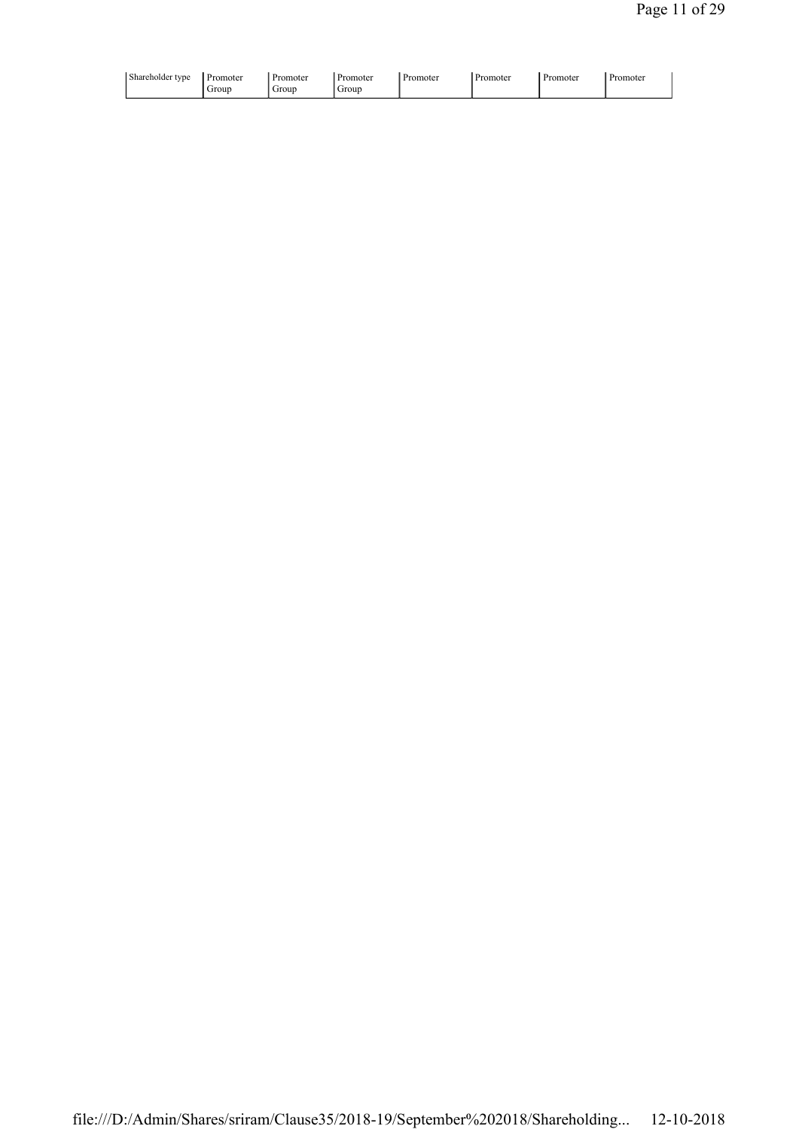| Shareholder type<br>Promoter<br>Promoter<br>Promoter<br>omoter<br>- 241<br>. .<br>Grour<br>Grour<br>Group | -<br>'romoter<br>Promoter<br>. Promoter |
|-----------------------------------------------------------------------------------------------------------|-----------------------------------------|
|-----------------------------------------------------------------------------------------------------------|-----------------------------------------|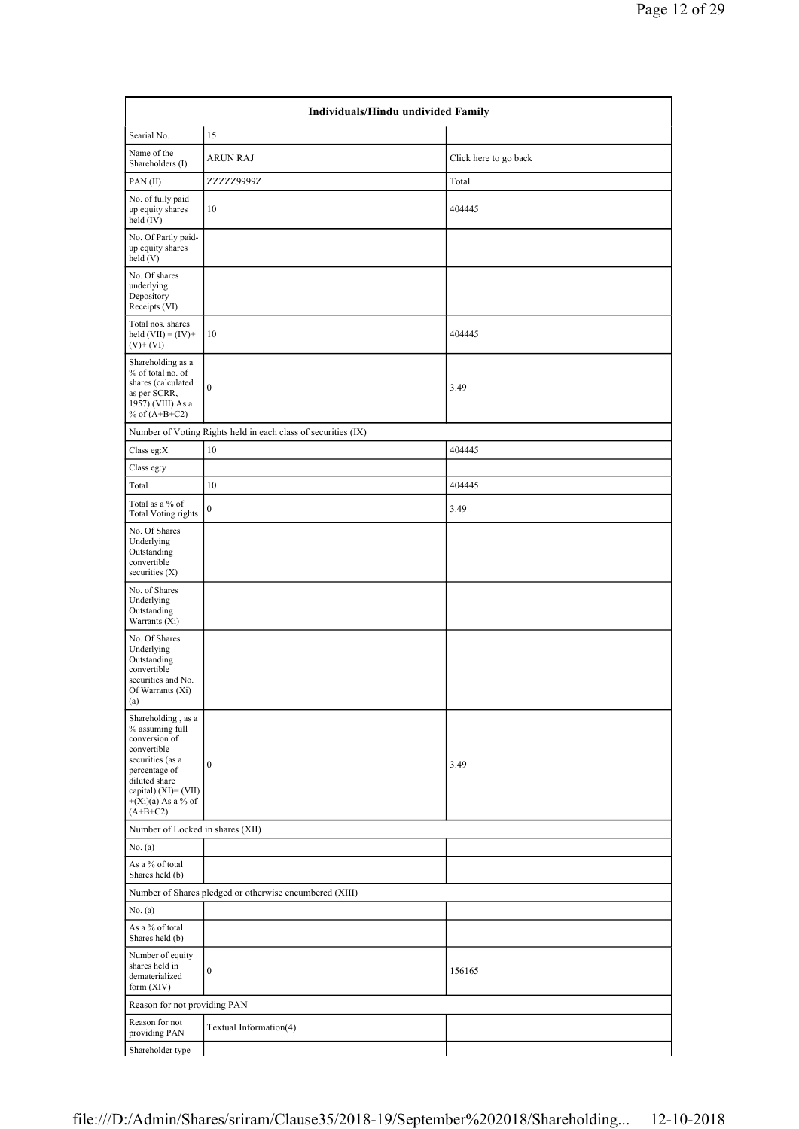| Individuals/Hindu undivided Family                                                                                                                                                        |                                                               |                       |  |  |  |  |  |  |
|-------------------------------------------------------------------------------------------------------------------------------------------------------------------------------------------|---------------------------------------------------------------|-----------------------|--|--|--|--|--|--|
| Searial No.                                                                                                                                                                               | 15                                                            |                       |  |  |  |  |  |  |
| Name of the<br>Shareholders (I)                                                                                                                                                           | <b>ARUN RAJ</b>                                               | Click here to go back |  |  |  |  |  |  |
| PAN(II)                                                                                                                                                                                   | ZZZZZ9999Z                                                    | Total                 |  |  |  |  |  |  |
| No. of fully paid<br>up equity shares<br>held (IV)                                                                                                                                        | 10                                                            | 404445                |  |  |  |  |  |  |
| No. Of Partly paid-<br>up equity shares<br>held (V)                                                                                                                                       |                                                               |                       |  |  |  |  |  |  |
| No. Of shares<br>underlying<br>Depository<br>Receipts (VI)                                                                                                                                |                                                               |                       |  |  |  |  |  |  |
| Total nos. shares<br>held $(VII) = (IV) +$<br>$(V)$ + $(VI)$                                                                                                                              | 10                                                            | 404445                |  |  |  |  |  |  |
| Shareholding as a<br>% of total no. of<br>shares (calculated<br>as per SCRR,<br>1957) (VIII) As a<br>% of $(A+B+C2)$                                                                      | $\boldsymbol{0}$                                              | 3.49                  |  |  |  |  |  |  |
|                                                                                                                                                                                           | Number of Voting Rights held in each class of securities (IX) |                       |  |  |  |  |  |  |
| Class eg:X                                                                                                                                                                                | 10                                                            | 404445                |  |  |  |  |  |  |
| Class eg:y                                                                                                                                                                                |                                                               |                       |  |  |  |  |  |  |
| Total                                                                                                                                                                                     | 10                                                            | 404445                |  |  |  |  |  |  |
| Total as a % of<br><b>Total Voting rights</b>                                                                                                                                             | $\boldsymbol{0}$                                              | 3.49                  |  |  |  |  |  |  |
| No. Of Shares<br>Underlying<br>Outstanding<br>convertible<br>securities $(X)$                                                                                                             |                                                               |                       |  |  |  |  |  |  |
| No. of Shares<br>Underlying<br>Outstanding<br>Warrants (Xi)                                                                                                                               |                                                               |                       |  |  |  |  |  |  |
| No. Of Shares<br>Underlying<br>Outstanding<br>convertible<br>securities and No.<br>Of Warrants (Xi)<br>(a)                                                                                |                                                               |                       |  |  |  |  |  |  |
| Shareholding, as a<br>% assuming full<br>conversion of<br>convertible<br>securities (as a<br>percentage of<br>diluted share<br>capital) (XI)= (VII)<br>$+(Xi)(a)$ As a % of<br>$(A+B+C2)$ | $\boldsymbol{0}$                                              | 3.49                  |  |  |  |  |  |  |
| Number of Locked in shares (XII)                                                                                                                                                          |                                                               |                       |  |  |  |  |  |  |
| No. (a)                                                                                                                                                                                   |                                                               |                       |  |  |  |  |  |  |
| As a % of total<br>Shares held (b)                                                                                                                                                        |                                                               |                       |  |  |  |  |  |  |
|                                                                                                                                                                                           | Number of Shares pledged or otherwise encumbered (XIII)       |                       |  |  |  |  |  |  |
| No. (a)                                                                                                                                                                                   |                                                               |                       |  |  |  |  |  |  |
| As a % of total<br>Shares held (b)                                                                                                                                                        |                                                               |                       |  |  |  |  |  |  |
| Number of equity<br>shares held in<br>dematerialized<br>form (XIV)                                                                                                                        | $\boldsymbol{0}$                                              | 156165                |  |  |  |  |  |  |
| Reason for not providing PAN                                                                                                                                                              |                                                               |                       |  |  |  |  |  |  |
| Reason for not<br>providing PAN                                                                                                                                                           | Textual Information(4)                                        |                       |  |  |  |  |  |  |
| Shareholder type                                                                                                                                                                          |                                                               |                       |  |  |  |  |  |  |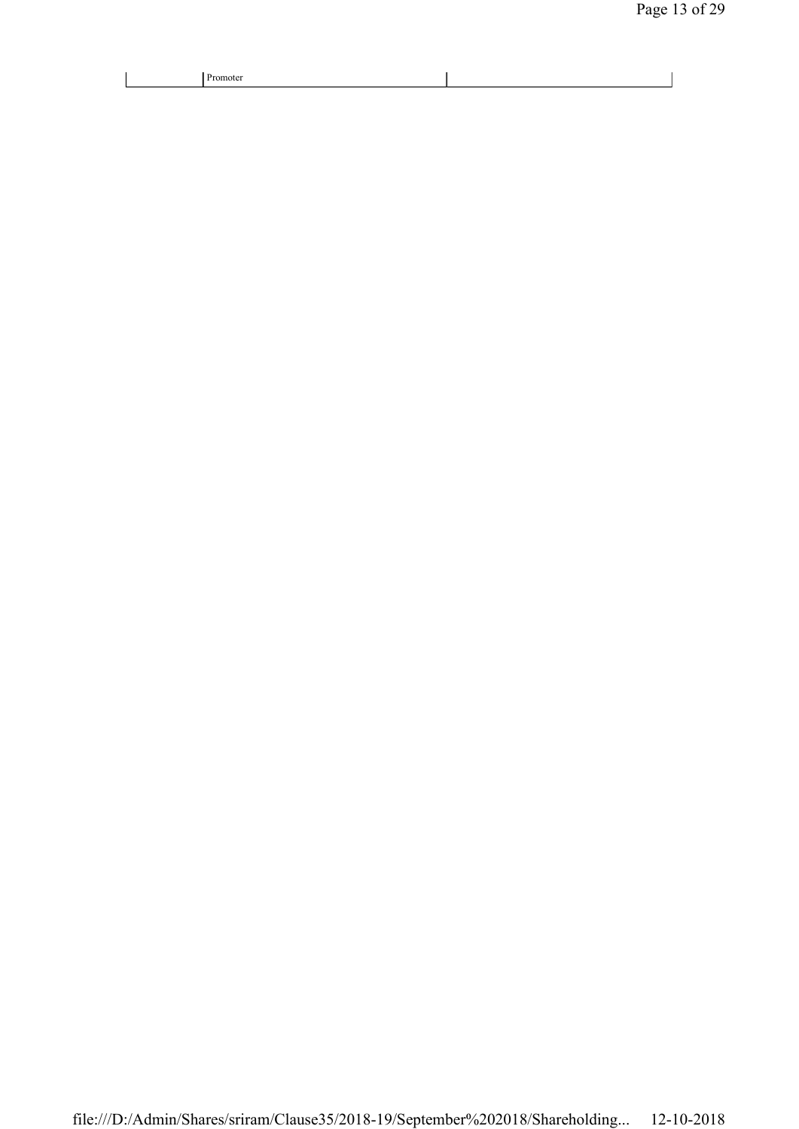| יונזה |  |
|-------|--|
|-------|--|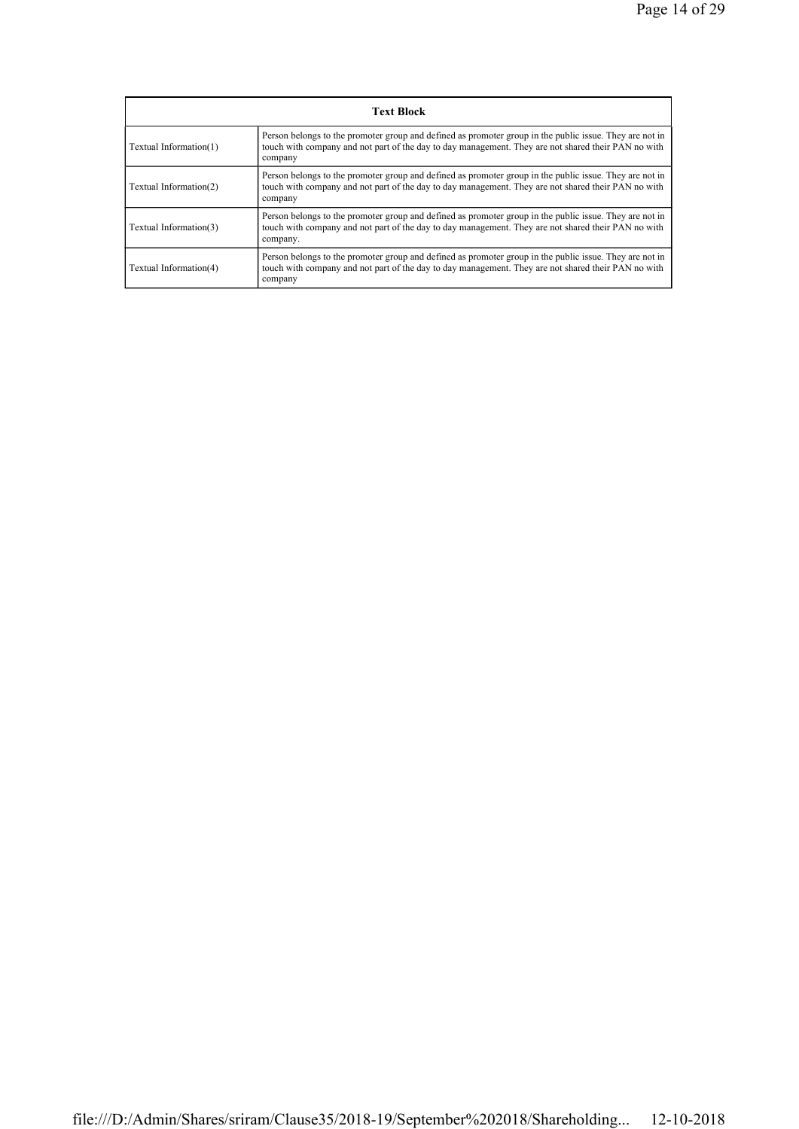| <b>Text Block</b>      |                                                                                                                                                                                                                            |  |  |
|------------------------|----------------------------------------------------------------------------------------------------------------------------------------------------------------------------------------------------------------------------|--|--|
| Textual Information(1) | Person belongs to the promoter group and defined as promoter group in the public issue. They are not in<br>touch with company and not part of the day to day management. They are not shared their PAN no with<br>company  |  |  |
| Textual Information(2) | Person belongs to the promoter group and defined as promoter group in the public issue. They are not in<br>touch with company and not part of the day to day management. They are not shared their PAN no with<br>company  |  |  |
| Textual Information(3) | Person belongs to the promoter group and defined as promoter group in the public issue. They are not in<br>touch with company and not part of the day to day management. They are not shared their PAN no with<br>company. |  |  |
| Textual Information(4) | Person belongs to the promoter group and defined as promoter group in the public issue. They are not in<br>touch with company and not part of the day to day management. They are not shared their PAN no with<br>company  |  |  |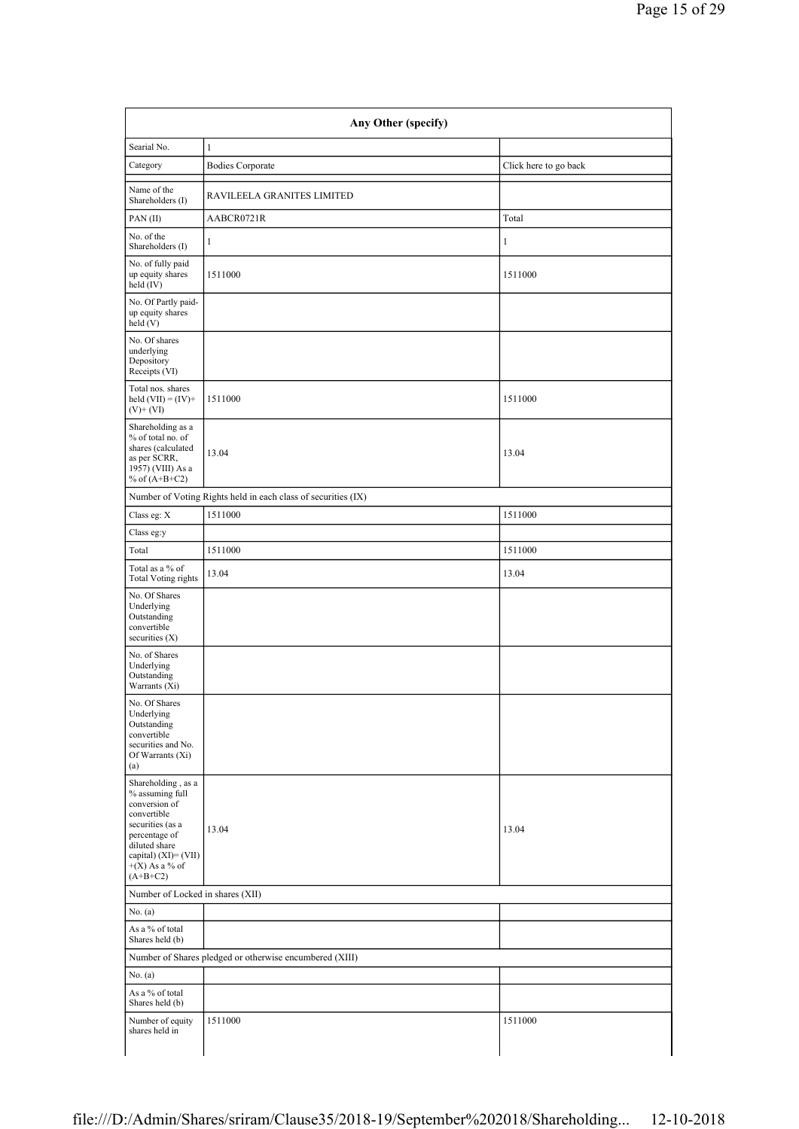| Any Other (specify)                                                                                                                                                                      |                                                               |                       |  |  |
|------------------------------------------------------------------------------------------------------------------------------------------------------------------------------------------|---------------------------------------------------------------|-----------------------|--|--|
| Searial No.                                                                                                                                                                              | $\mathbf{1}$                                                  |                       |  |  |
| Category                                                                                                                                                                                 | <b>Bodies Corporate</b>                                       | Click here to go back |  |  |
| Name of the<br>Shareholders (I)                                                                                                                                                          | RAVILEELA GRANITES LIMITED                                    |                       |  |  |
| PAN(II)                                                                                                                                                                                  | AABCR0721R                                                    | Total                 |  |  |
| No. of the<br>Shareholders (I)                                                                                                                                                           | 1                                                             | $\mathbf{1}$          |  |  |
| No. of fully paid<br>up equity shares<br>held $(IV)$                                                                                                                                     | 1511000                                                       | 1511000               |  |  |
| No. Of Partly paid-<br>up equity shares<br>held(V)                                                                                                                                       |                                                               |                       |  |  |
| No. Of shares<br>underlying<br>Depository<br>Receipts (VI)                                                                                                                               |                                                               |                       |  |  |
| Total nos. shares<br>held $(VII) = (IV) +$<br>$(V)$ + $(VI)$                                                                                                                             | 1511000                                                       | 1511000               |  |  |
| Shareholding as a<br>% of total no. of<br>shares (calculated<br>as per SCRR,<br>1957) (VIII) As a<br>% of $(A+B+C2)$                                                                     | 13.04                                                         | 13.04                 |  |  |
|                                                                                                                                                                                          | Number of Voting Rights held in each class of securities (IX) |                       |  |  |
| Class eg: X                                                                                                                                                                              | 1511000                                                       | 1511000               |  |  |
| Class eg:y                                                                                                                                                                               |                                                               |                       |  |  |
| Total                                                                                                                                                                                    | 1511000                                                       | 1511000               |  |  |
| Total as a % of<br>Total Voting rights                                                                                                                                                   | 13.04                                                         | 13.04                 |  |  |
| No. Of Shares<br>Underlying<br>Outstanding<br>convertible<br>securities (X)                                                                                                              |                                                               |                       |  |  |
| No. of Shares<br>Underlying<br>Outstanding<br>Warrants (Xi)                                                                                                                              |                                                               |                       |  |  |
| No. Of Shares<br>Underlying<br>Outstanding<br>convertible<br>securities and No.<br>Of Warrants (Xi)<br>(a)                                                                               |                                                               |                       |  |  |
| Shareholding, as a<br>% assuming full<br>conversion of<br>convertible<br>securities (as a<br>percentage of<br>diluted share<br>capital) $(XI) = (VII)$<br>$+(X)$ As a % of<br>$(A+B+C2)$ | 13.04                                                         | 13.04                 |  |  |
| Number of Locked in shares (XII)                                                                                                                                                         |                                                               |                       |  |  |
| No. $(a)$                                                                                                                                                                                |                                                               |                       |  |  |
| As a % of total<br>Shares held (b)                                                                                                                                                       |                                                               |                       |  |  |
|                                                                                                                                                                                          | Number of Shares pledged or otherwise encumbered (XIII)       |                       |  |  |
| No. (a)                                                                                                                                                                                  |                                                               |                       |  |  |
| As a % of total<br>Shares held (b)                                                                                                                                                       |                                                               |                       |  |  |
| Number of equity<br>shares held in                                                                                                                                                       | 1511000                                                       | 1511000               |  |  |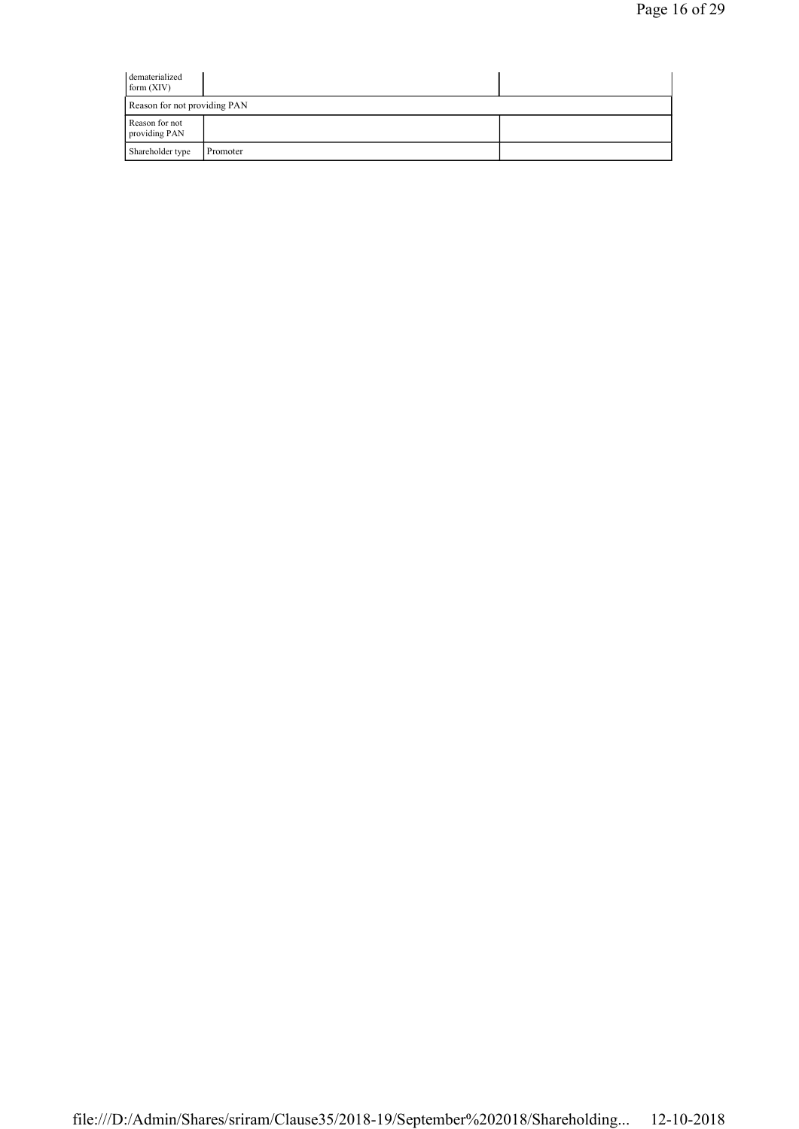| dematerialized<br>form (XIV)    |          |  |
|---------------------------------|----------|--|
| Reason for not providing PAN    |          |  |
| Reason for not<br>providing PAN |          |  |
| Shareholder type                | Promoter |  |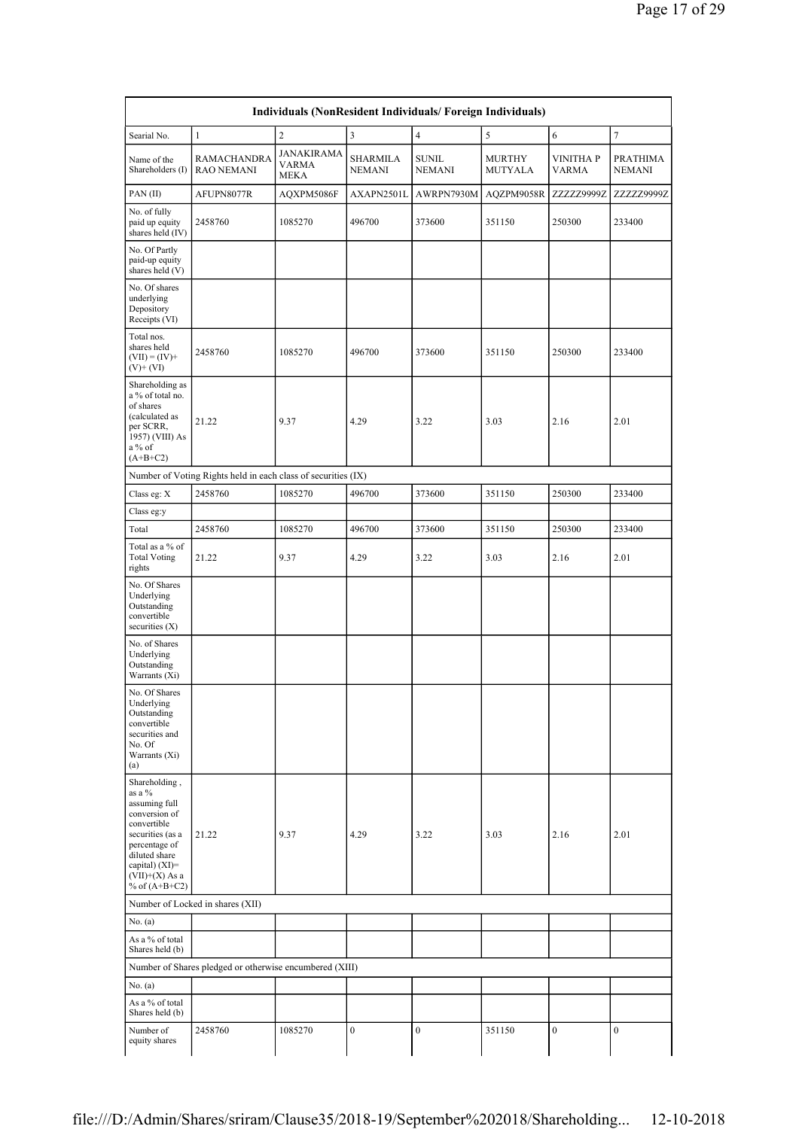| Searial No.                                                                                                                                                                             | $\mathbf{1}$                                                  | $\sqrt{2}$                         | 3                                | $\overline{\mathbf{4}}$ | 5                        | 6                               | $\tau$                    |
|-----------------------------------------------------------------------------------------------------------------------------------------------------------------------------------------|---------------------------------------------------------------|------------------------------------|----------------------------------|-------------------------|--------------------------|---------------------------------|---------------------------|
| Name of the<br>Shareholders (I)                                                                                                                                                         | <b>RAMACHANDRA</b><br><b>RAO NEMANI</b>                       | JANAKIRAMA<br>VARMA<br><b>MEKA</b> | <b>SHARMILA</b><br><b>NEMANI</b> | SUNIL<br><b>NEMANI</b>  | <b>MURTHY</b><br>MUTYALA | <b>VINITHAP</b><br><b>VARMA</b> | PRATHIMA<br><b>NEMANI</b> |
| PAN(II)                                                                                                                                                                                 | AFUPN8077R                                                    | AQXPM5086F                         | AXAPN2501L                       | AWRPN7930M              | AQZPM9058R               | ZZZZZ9999Z                      | ZZZZZ9999Z                |
| No. of fully<br>paid up equity<br>shares held (IV)                                                                                                                                      | 2458760                                                       | 1085270                            | 496700                           | 373600                  | 351150                   | 250300                          | 233400                    |
| No. Of Partly<br>paid-up equity<br>shares held (V)                                                                                                                                      |                                                               |                                    |                                  |                         |                          |                                 |                           |
| No. Of shares<br>underlying<br>Depository<br>Receipts (VI)                                                                                                                              |                                                               |                                    |                                  |                         |                          |                                 |                           |
| Total nos.<br>shares held<br>$(VII) = (IV) +$<br>$(V)$ + $(VI)$                                                                                                                         | 2458760                                                       | 1085270                            | 496700                           | 373600                  | 351150                   | 250300                          | 233400                    |
| Shareholding as<br>a % of total no.<br>of shares<br>(calculated as<br>per SCRR,<br>1957) (VIII) As<br>a % of<br>$(A+B+C2)$                                                              | 21.22                                                         | 9.37                               | 4.29                             | 3.22                    | 3.03                     | 2.16                            | 2.01                      |
|                                                                                                                                                                                         | Number of Voting Rights held in each class of securities (IX) |                                    |                                  |                         |                          |                                 |                           |
| Class eg: X                                                                                                                                                                             | 2458760                                                       | 1085270                            | 496700                           | 373600                  | 351150                   | 250300                          | 233400                    |
| Class eg:y                                                                                                                                                                              |                                                               |                                    |                                  |                         |                          |                                 |                           |
| Total                                                                                                                                                                                   | 2458760                                                       | 1085270                            | 496700                           | 373600                  | 351150                   | 250300                          | 233400                    |
| Total as a % of<br><b>Total Voting</b><br>rights                                                                                                                                        | 21.22                                                         | 9.37                               | 4.29                             | 3.22                    | 3.03                     | 2.16                            | 2.01                      |
| No. Of Shares<br>Underlying<br>Outstanding<br>convertible<br>securities $(X)$                                                                                                           |                                                               |                                    |                                  |                         |                          |                                 |                           |
| No. of Shares<br>Underlying<br>Outstanding<br>Warrants (Xi)                                                                                                                             |                                                               |                                    |                                  |                         |                          |                                 |                           |
| No. Of Shares<br>Underlying<br>Outstanding<br>convertible<br>securities and<br>No. Of<br>Warrants (Xi)<br>(a)                                                                           |                                                               |                                    |                                  |                         |                          |                                 |                           |
| Shareholding,<br>as a %<br>assuming full<br>conversion of<br>convertible<br>securities (as a<br>percentage of<br>diluted share<br>capital) (XI)=<br>$(VII)+(X)$ As a<br>% of $(A+B+C2)$ | 21.22                                                         | 9.37                               | 4.29                             | 3.22                    | 3.03                     | 2.16                            | 2.01                      |
|                                                                                                                                                                                         | Number of Locked in shares (XII)                              |                                    |                                  |                         |                          |                                 |                           |
| No. (a)                                                                                                                                                                                 |                                                               |                                    |                                  |                         |                          |                                 |                           |
| As a % of total<br>Shares held (b)                                                                                                                                                      |                                                               |                                    |                                  |                         |                          |                                 |                           |
|                                                                                                                                                                                         | Number of Shares pledged or otherwise encumbered (XIII)       |                                    |                                  |                         |                          |                                 |                           |
| No. (a)                                                                                                                                                                                 |                                                               |                                    |                                  |                         |                          |                                 |                           |
| As a % of total                                                                                                                                                                         |                                                               |                                    |                                  |                         |                          |                                 |                           |
| Shares held (b)                                                                                                                                                                         |                                                               |                                    |                                  |                         |                          |                                 |                           |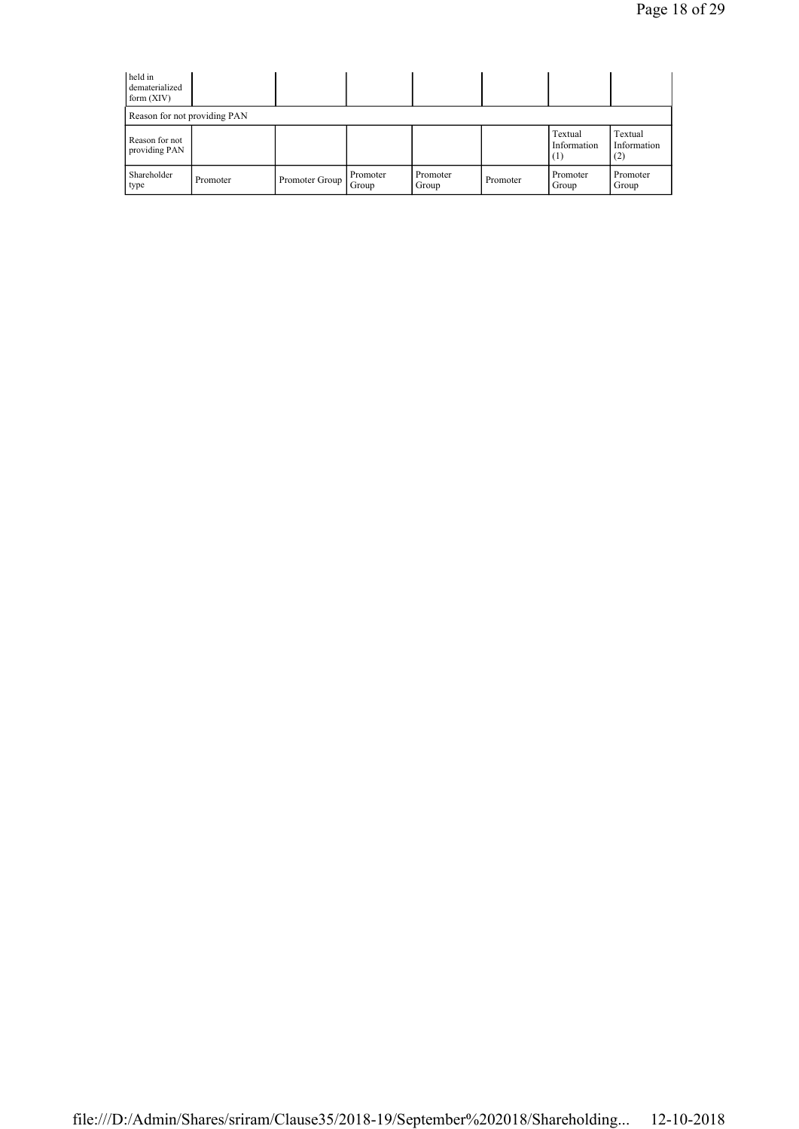| held in<br>dematerialized<br>form $(XIV)$ |          |                |                   |                   |          |                               |                               |
|-------------------------------------------|----------|----------------|-------------------|-------------------|----------|-------------------------------|-------------------------------|
| Reason for not providing PAN              |          |                |                   |                   |          |                               |                               |
| Reason for not<br>providing PAN           |          |                |                   |                   |          | Textual<br>Information<br>(1) | Textual<br>Information<br>(2) |
| Shareholder<br>type                       | Promoter | Promoter Group | Promoter<br>Group | Promoter<br>Group | Promoter | Promoter<br>Group             | Promoter<br>Group             |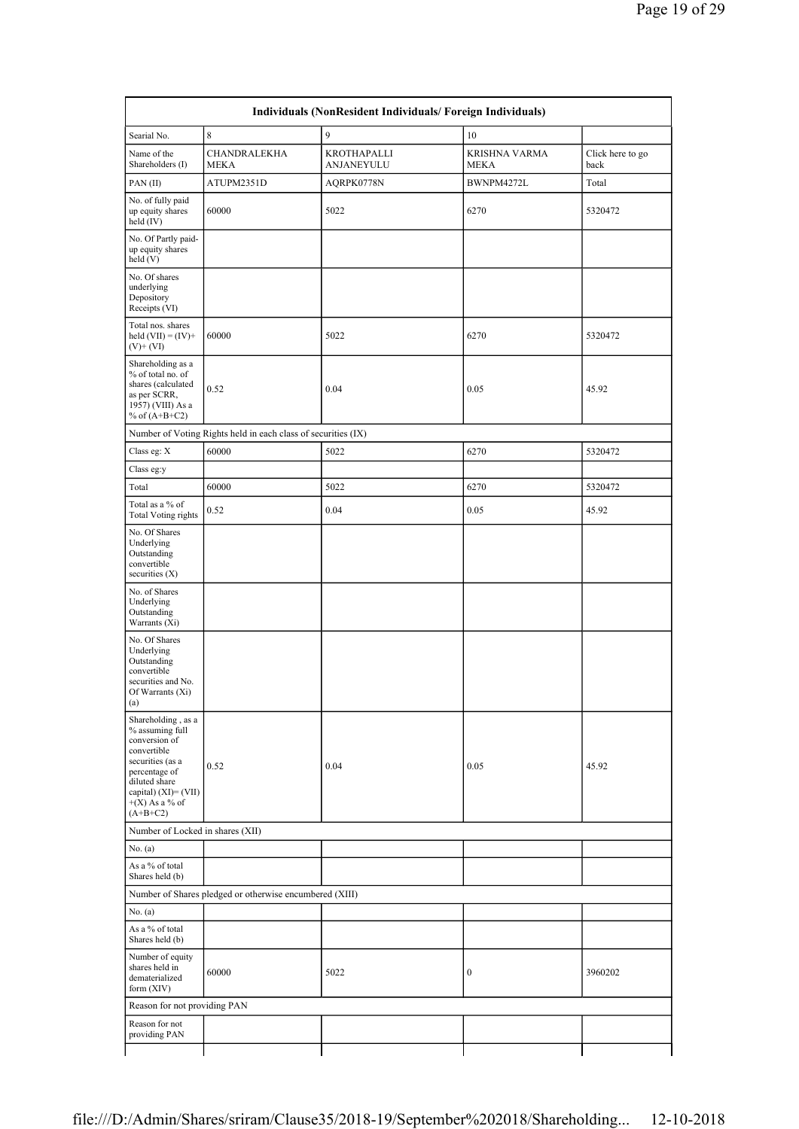| Individuals (NonResident Individuals/ Foreign Individuals)                                                                                                                            |                                                               |                           |                              |                          |
|---------------------------------------------------------------------------------------------------------------------------------------------------------------------------------------|---------------------------------------------------------------|---------------------------|------------------------------|--------------------------|
| Searial No.                                                                                                                                                                           | $\,8\,$                                                       | 9                         | $10\,$                       |                          |
| Name of the<br>Shareholders (I)                                                                                                                                                       | CHANDRALEKHA<br>MEKA                                          | KROTHAPALLI<br>ANJANEYULU | KRISHNA VARMA<br><b>MEKA</b> | Click here to go<br>back |
| PAN(II)                                                                                                                                                                               | ATUPM2351D                                                    | AQRPK0778N                | BWNPM4272L                   | Total                    |
| No. of fully paid<br>up equity shares<br>held (IV)                                                                                                                                    | 60000                                                         | 5022                      | 6270                         | 5320472                  |
| No. Of Partly paid-<br>up equity shares<br>held(V)                                                                                                                                    |                                                               |                           |                              |                          |
| No. Of shares<br>underlying<br>Depository<br>Receipts (VI)                                                                                                                            |                                                               |                           |                              |                          |
| Total nos. shares<br>held $(VII) = (IV) +$<br>$(V)$ + $(VI)$                                                                                                                          | 60000                                                         | 5022                      | 6270                         | 5320472                  |
| Shareholding as a<br>% of total no. of<br>shares (calculated<br>as per SCRR,<br>1957) (VIII) As a<br>% of $(A+B+C2)$                                                                  | 0.52                                                          | 0.04                      | 0.05                         | 45.92                    |
|                                                                                                                                                                                       | Number of Voting Rights held in each class of securities (IX) |                           |                              |                          |
| Class eg: X                                                                                                                                                                           | 60000                                                         | 5022                      | 6270                         | 5320472                  |
| Class eg:y                                                                                                                                                                            |                                                               |                           |                              |                          |
| Total                                                                                                                                                                                 | 60000                                                         | 5022                      | 6270                         | 5320472                  |
| Total as a % of<br><b>Total Voting rights</b>                                                                                                                                         | 0.52                                                          | 0.04                      | 0.05                         | 45.92                    |
| No. Of Shares<br>Underlying<br>Outstanding<br>convertible<br>securities $(X)$                                                                                                         |                                                               |                           |                              |                          |
| No. of Shares<br>Underlying<br>Outstanding<br>Warrants (Xi)                                                                                                                           |                                                               |                           |                              |                          |
| No. Of Shares<br>Underlying<br>Outstanding<br>convertible<br>securities and No.<br>Of Warrants (Xi)<br>$\left( a\right)$                                                              |                                                               |                           |                              |                          |
| Shareholding, as a<br>% assuming full<br>conversion of<br>convertible<br>securities (as a<br>percentage of<br>diluted share<br>capital) (XI)= (VII)<br>$+(X)$ As a % of<br>$(A+B+C2)$ | 0.52                                                          | 0.04                      | 0.05                         | 45.92                    |
| Number of Locked in shares (XII)                                                                                                                                                      |                                                               |                           |                              |                          |
| No. (a)                                                                                                                                                                               |                                                               |                           |                              |                          |
| As a % of total<br>Shares held (b)                                                                                                                                                    |                                                               |                           |                              |                          |
|                                                                                                                                                                                       | Number of Shares pledged or otherwise encumbered (XIII)       |                           |                              |                          |
| No. (a)                                                                                                                                                                               |                                                               |                           |                              |                          |
| As a % of total<br>Shares held (b)                                                                                                                                                    |                                                               |                           |                              |                          |
| Number of equity<br>shares held in<br>dematerialized<br>form (XIV)                                                                                                                    | 60000                                                         | 5022                      | $\boldsymbol{0}$             | 3960202                  |
| Reason for not providing PAN                                                                                                                                                          |                                                               |                           |                              |                          |
| Reason for not<br>providing PAN                                                                                                                                                       |                                                               |                           |                              |                          |
|                                                                                                                                                                                       |                                                               |                           |                              |                          |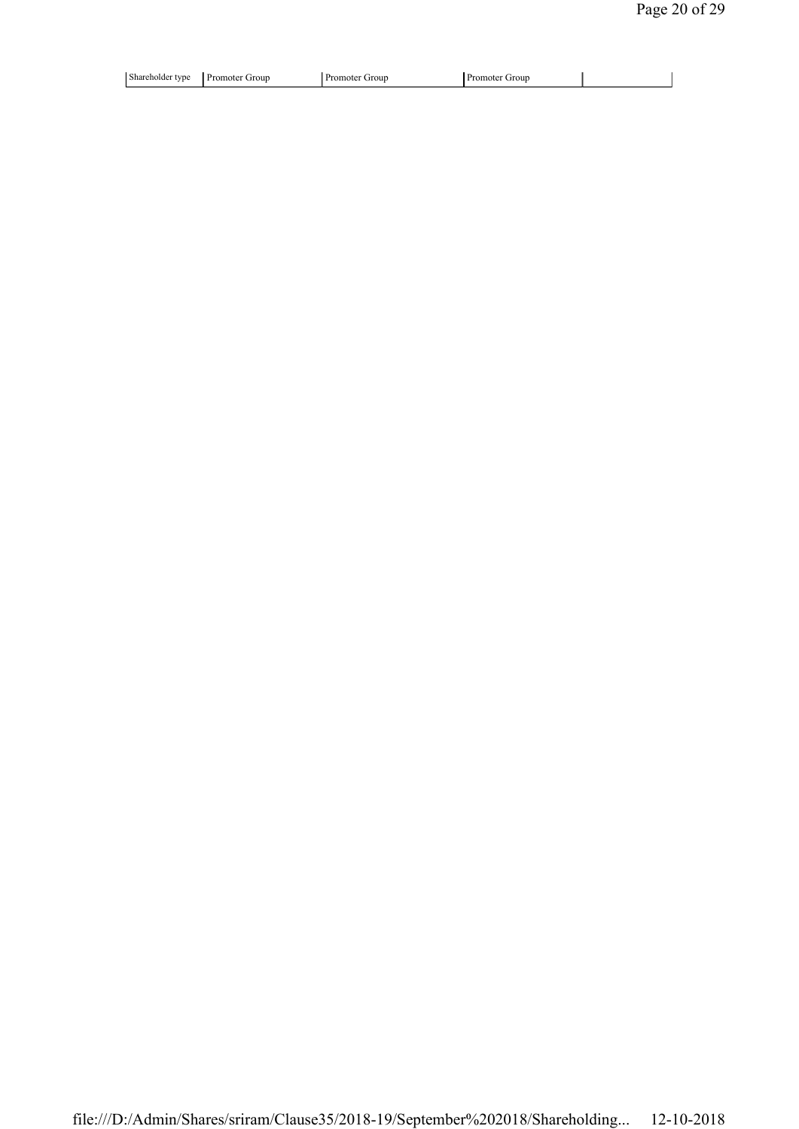| iroun<br>ונזו<br>,,,<br>- 1 | Shar |  |  |  |  |
|-----------------------------|------|--|--|--|--|
|-----------------------------|------|--|--|--|--|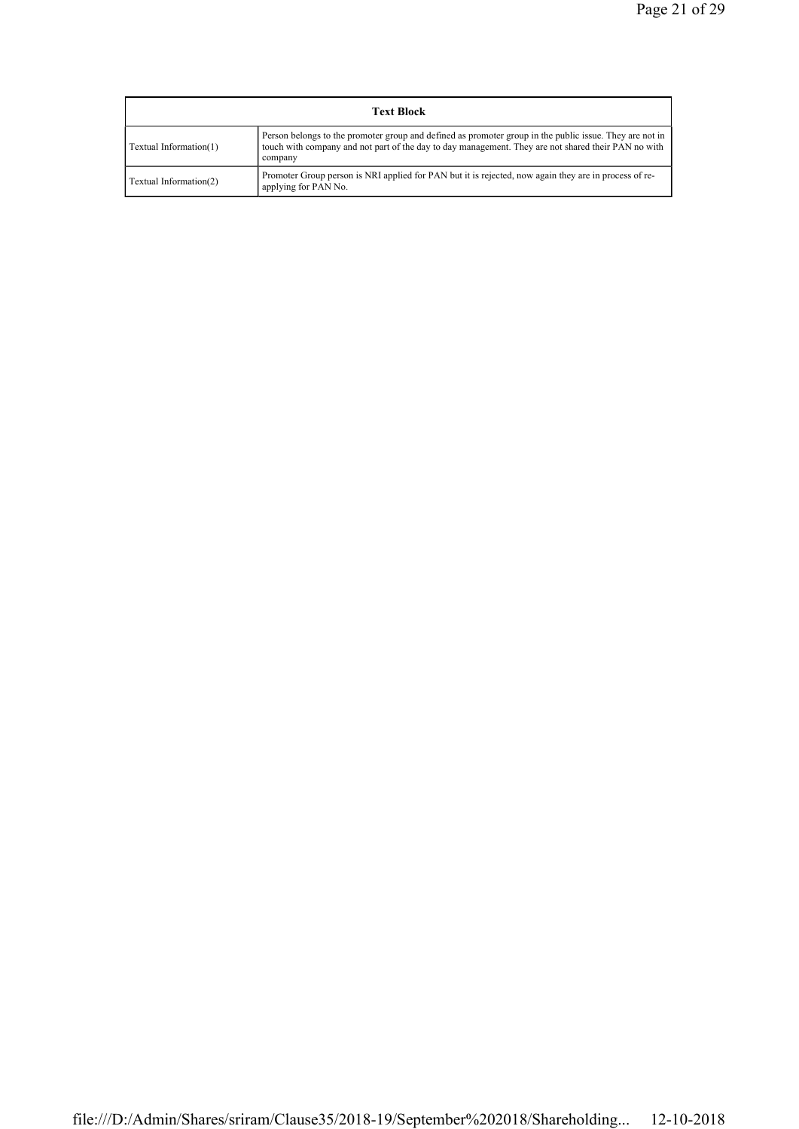| <b>Text Block</b>      |                                                                                                                                                                                                                           |  |  |
|------------------------|---------------------------------------------------------------------------------------------------------------------------------------------------------------------------------------------------------------------------|--|--|
| Textual Information(1) | Person belongs to the promoter group and defined as promoter group in the public issue. They are not in<br>touch with company and not part of the day to day management. They are not shared their PAN no with<br>company |  |  |
| Textual Information(2) | Promoter Group person is NRI applied for PAN but it is rejected, now again they are in process of re-<br>applying for PAN No.                                                                                             |  |  |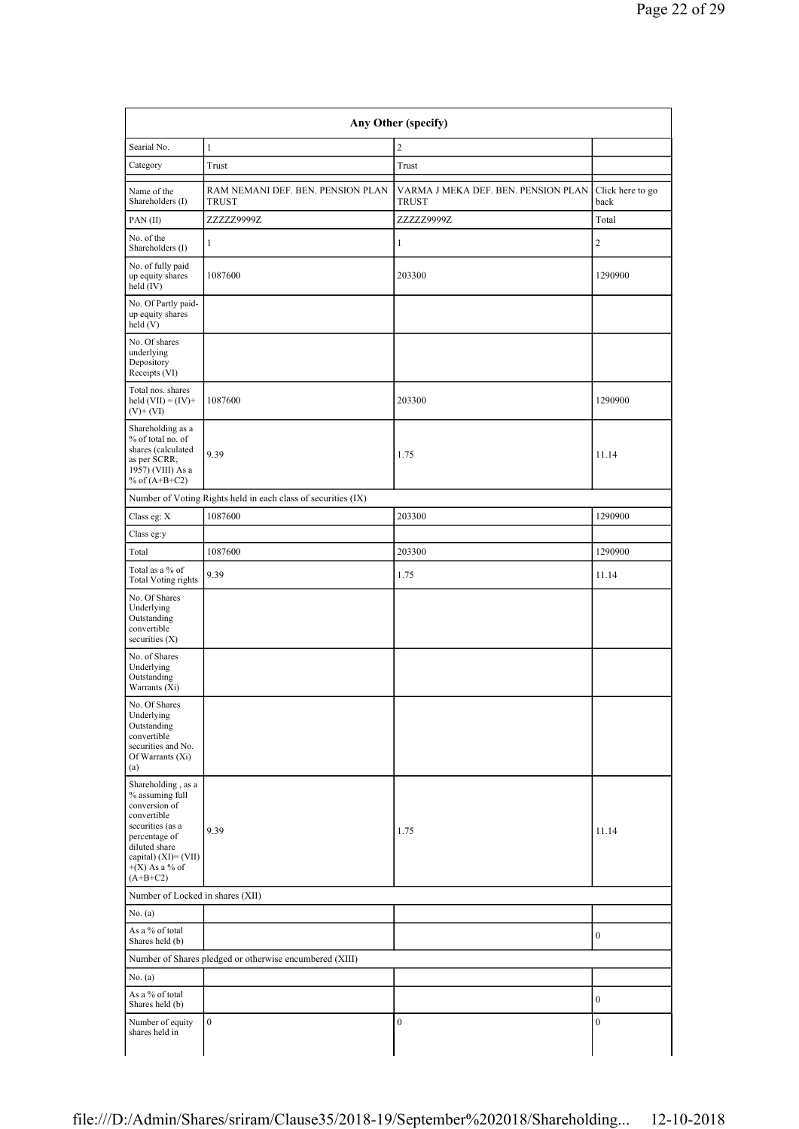|                                                                                                                                                                                          |                                                               | Any Other (specify)                                 |                          |
|------------------------------------------------------------------------------------------------------------------------------------------------------------------------------------------|---------------------------------------------------------------|-----------------------------------------------------|--------------------------|
| Searial No.                                                                                                                                                                              | $\mathbf{1}$                                                  | 2                                                   |                          |
| Category                                                                                                                                                                                 | Trust                                                         | $\operatorname{Trust}$                              |                          |
| Name of the<br>Shareholders (I)                                                                                                                                                          | RAM NEMANI DEF. BEN. PENSION PLAN<br><b>TRUST</b>             | VARMA J MEKA DEF. BEN. PENSION PLAN<br><b>TRUST</b> | Click here to go<br>back |
| PAN(II)                                                                                                                                                                                  | ZZZZZ9999Z                                                    | ZZZZZ9999Z                                          | Total                    |
| No. of the<br>Shareholders (I)                                                                                                                                                           | $\mathbf{1}$                                                  | $\mathbf{1}$                                        | $\overline{c}$           |
| No. of fully paid<br>up equity shares<br>held (IV)                                                                                                                                       | 1087600                                                       | 203300                                              | 1290900                  |
| No. Of Partly paid-<br>up equity shares<br>held(V)                                                                                                                                       |                                                               |                                                     |                          |
| No. Of shares<br>underlying<br>Depository<br>Receipts (VI)                                                                                                                               |                                                               |                                                     |                          |
| Total nos. shares<br>held $(VII) = (IV) +$<br>$(V)$ + $(VI)$                                                                                                                             | 1087600                                                       | 203300                                              | 1290900                  |
| Shareholding as a<br>% of total no. of<br>shares (calculated<br>as per SCRR,<br>1957) (VIII) As a<br>% of $(A+B+C2)$                                                                     | 9.39                                                          | 1.75                                                | 11.14                    |
|                                                                                                                                                                                          | Number of Voting Rights held in each class of securities (IX) |                                                     |                          |
| Class eg: X                                                                                                                                                                              | 1087600                                                       | 203300                                              | 1290900                  |
| Class eg:y                                                                                                                                                                               |                                                               |                                                     |                          |
| Total                                                                                                                                                                                    | 1087600                                                       | 203300                                              | 1290900                  |
| Total as a $\%$ of<br><b>Total Voting rights</b>                                                                                                                                         | 9.39                                                          | 1.75                                                | 11.14                    |
| No. Of Shares<br>Underlying<br>Outstanding<br>convertible<br>securities (X)                                                                                                              |                                                               |                                                     |                          |
| No. of Shares<br>Underlying<br>Outstanding<br>Warrants (Xi)                                                                                                                              |                                                               |                                                     |                          |
| No. Of Shares<br>Underlying<br>Outstanding<br>convertible<br>securities and No.<br>Of Warrants (Xi)<br>(a)                                                                               |                                                               |                                                     |                          |
| Shareholding, as a<br>% assuming full<br>conversion of<br>convertible<br>securities (as a<br>percentage of<br>diluted share<br>capital) $(XI) = (VII)$<br>$+(X)$ As a % of<br>$(A+B+C2)$ | 9.39                                                          | 1.75                                                | 11.14                    |
| Number of Locked in shares (XII)                                                                                                                                                         |                                                               |                                                     |                          |
| No. (a)                                                                                                                                                                                  |                                                               |                                                     |                          |
| As a % of total<br>Shares held (b)                                                                                                                                                       |                                                               |                                                     | $\bf{0}$                 |
|                                                                                                                                                                                          | Number of Shares pledged or otherwise encumbered (XIII)       |                                                     |                          |
| No. (a)                                                                                                                                                                                  |                                                               |                                                     |                          |
| As a % of total<br>Shares held (b)                                                                                                                                                       |                                                               |                                                     | $\mathbf{0}$             |
| Number of equity                                                                                                                                                                         | $\boldsymbol{0}$                                              | $\boldsymbol{0}$                                    | $\boldsymbol{0}$         |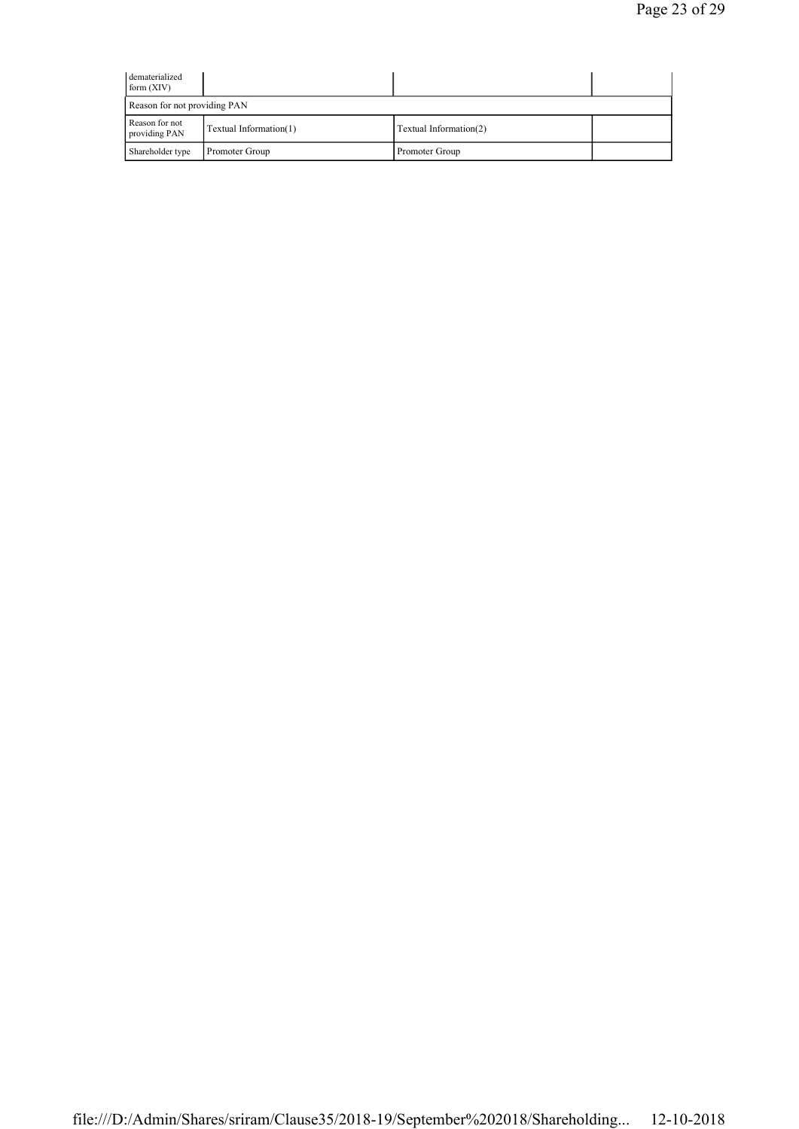| dematerialized<br>form (XIV)    |                        |                        |  |
|---------------------------------|------------------------|------------------------|--|
| Reason for not providing PAN    |                        |                        |  |
| Reason for not<br>providing PAN | Textual Information(1) | Textual Information(2) |  |
| Shareholder type                | Promoter Group         | Promoter Group         |  |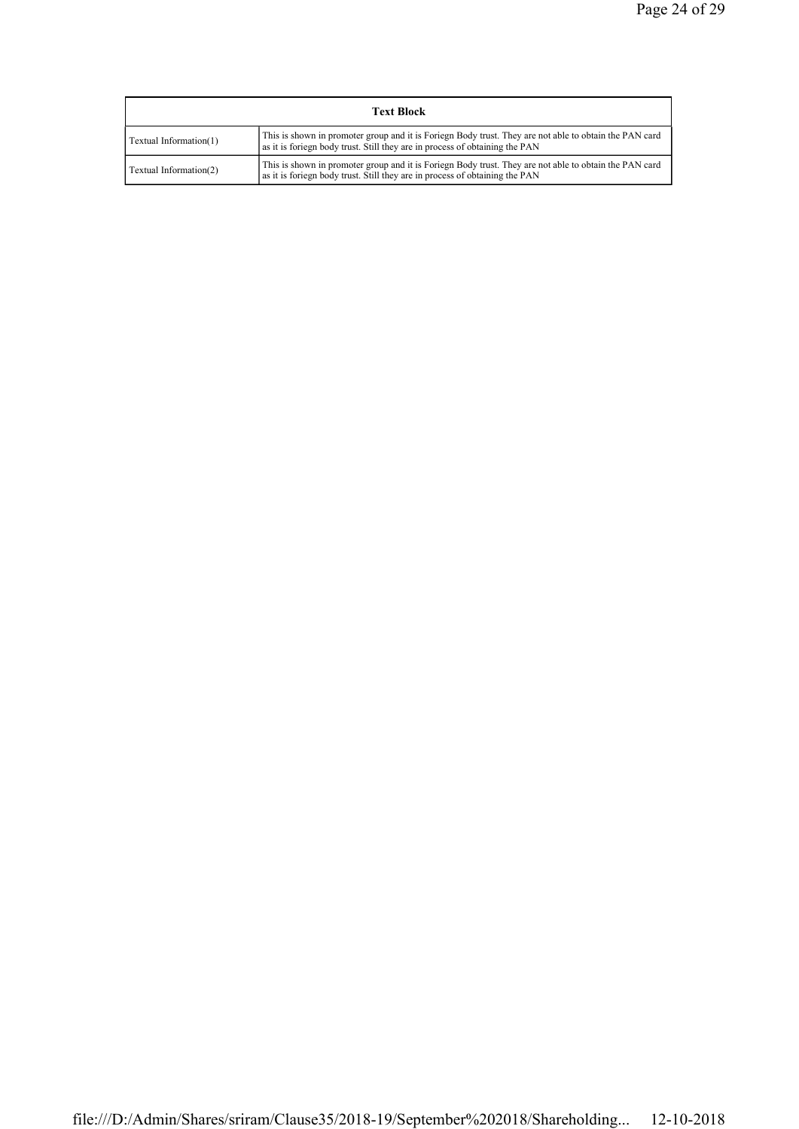| <b>Text Block</b>      |                                                                                                                                                                                       |  |  |  |
|------------------------|---------------------------------------------------------------------------------------------------------------------------------------------------------------------------------------|--|--|--|
| Textual Information(1) | This is shown in promoter group and it is Foriegn Body trust. They are not able to obtain the PAN card<br>as it is foriegn body trust. Still they are in process of obtaining the PAN |  |  |  |
| Textual Information(2) | This is shown in promoter group and it is Foriegn Body trust. They are not able to obtain the PAN card<br>as it is foriegn body trust. Still they are in process of obtaining the PAN |  |  |  |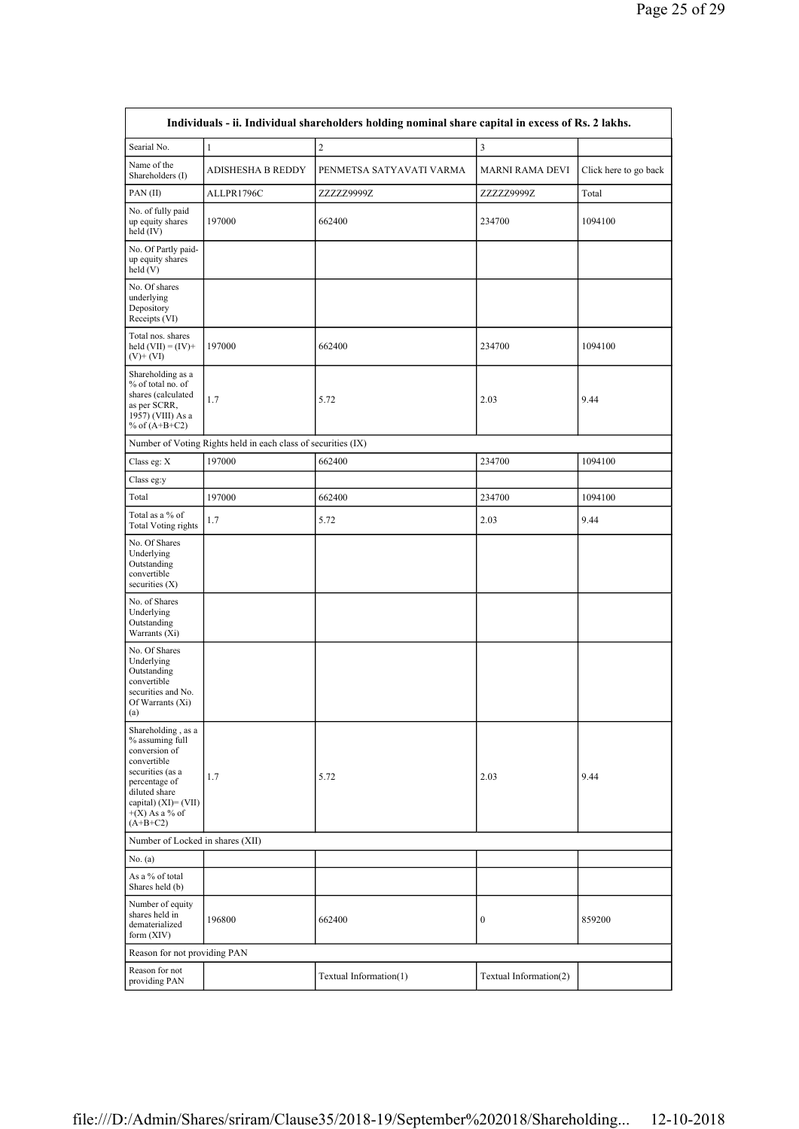| Individuals - ii. Individual shareholders holding nominal share capital in excess of Rs. 2 lakhs.                                                                                        |                                                               |                          |                        |                       |  |
|------------------------------------------------------------------------------------------------------------------------------------------------------------------------------------------|---------------------------------------------------------------|--------------------------|------------------------|-----------------------|--|
| Searial No.                                                                                                                                                                              | $\mathbf{1}$                                                  | $\overline{2}$           | $\mathfrak z$          |                       |  |
| Name of the<br>Shareholders (I)                                                                                                                                                          | ADISHESHA B REDDY                                             | PENMETSA SATYAVATI VARMA | <b>MARNI RAMA DEVI</b> | Click here to go back |  |
| PAN(II)                                                                                                                                                                                  | ALLPR1796C                                                    | ZZZZZ9999Z               | ZZZZZ9999Z             | Total                 |  |
| No. of fully paid<br>up equity shares<br>held (IV)                                                                                                                                       | 197000                                                        | 662400                   | 234700                 | 1094100               |  |
| No. Of Partly paid-<br>up equity shares<br>held(V)                                                                                                                                       |                                                               |                          |                        |                       |  |
| No. Of shares<br>underlying<br>Depository<br>Receipts (VI)                                                                                                                               |                                                               |                          |                        |                       |  |
| Total nos. shares<br>held $(VII) = (IV) +$<br>$(V)$ + $(VI)$                                                                                                                             | 197000                                                        | 662400                   | 234700                 | 1094100               |  |
| Shareholding as a<br>% of total no. of<br>shares (calculated<br>as per SCRR,<br>1957) (VIII) As a<br>% of $(A+B+C2)$                                                                     | 1.7                                                           | 5.72                     | 2.03                   | 9.44                  |  |
|                                                                                                                                                                                          | Number of Voting Rights held in each class of securities (IX) |                          |                        |                       |  |
| Class eg: X                                                                                                                                                                              | 197000                                                        | 662400                   | 234700                 | 1094100               |  |
| Class eg:y                                                                                                                                                                               |                                                               |                          |                        |                       |  |
| Total                                                                                                                                                                                    | 197000                                                        | 662400                   | 234700                 | 1094100               |  |
| Total as a % of<br><b>Total Voting rights</b>                                                                                                                                            | 1.7                                                           | 5.72                     | 2.03                   | 9.44                  |  |
| No. Of Shares<br>Underlying<br>Outstanding<br>convertible<br>securities $(X)$                                                                                                            |                                                               |                          |                        |                       |  |
| No. of Shares<br>Underlying<br>Outstanding<br>Warrants (Xi)                                                                                                                              |                                                               |                          |                        |                       |  |
| No. Of Shares<br>Underlying<br>Outstanding<br>convertible<br>securities and No.<br>Of Warrants (Xi)<br>(a)                                                                               |                                                               |                          |                        |                       |  |
| Shareholding, as a<br>% assuming full<br>conversion of<br>convertible<br>securities (as a<br>percentage of<br>diluted share<br>capital) $(XI) = (VII)$<br>$+(X)$ As a % of<br>$(A+B+C2)$ | 1.7                                                           | 5.72                     | 2.03                   | 9.44                  |  |
| Number of Locked in shares (XII)                                                                                                                                                         |                                                               |                          |                        |                       |  |
| No. (a)                                                                                                                                                                                  |                                                               |                          |                        |                       |  |
| As a % of total<br>Shares held (b)                                                                                                                                                       |                                                               |                          |                        |                       |  |
| Number of equity<br>shares held in<br>dematerialized<br>form (XIV)                                                                                                                       | 196800                                                        | 662400                   | $\boldsymbol{0}$       | 859200                |  |
| Reason for not providing PAN                                                                                                                                                             |                                                               |                          |                        |                       |  |
| Reason for not<br>providing PAN                                                                                                                                                          |                                                               | Textual Information(1)   | Textual Information(2) |                       |  |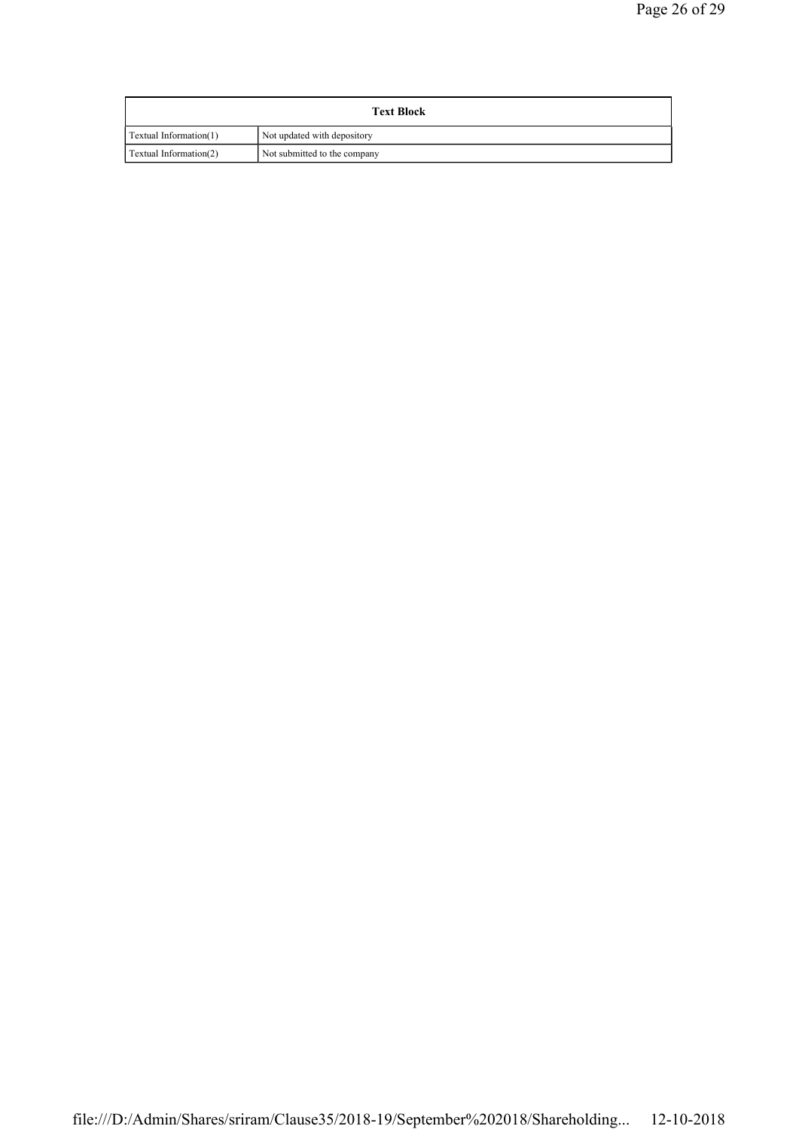| <b>Text Block</b>      |                              |  |
|------------------------|------------------------------|--|
| Textual Information(1) | Not updated with depository  |  |
| Textual Information(2) | Not submitted to the company |  |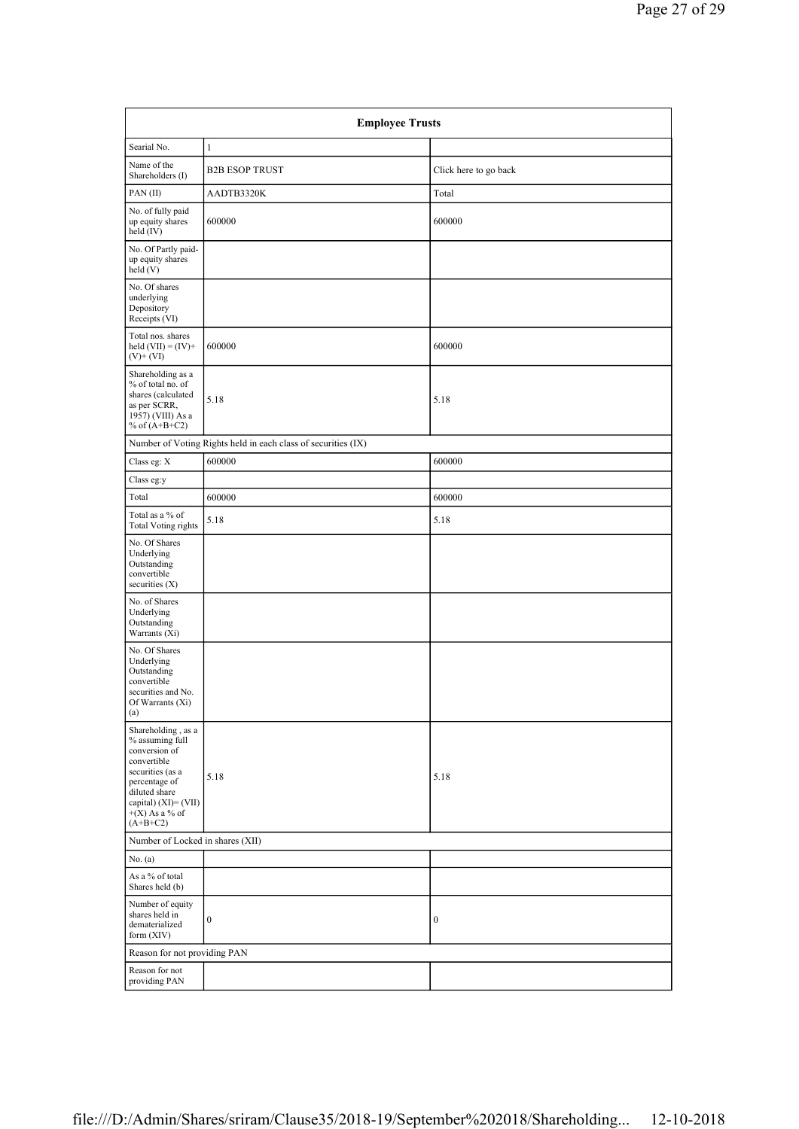| <b>Employee Trusts</b>                                                                                                                                                                   |                                                               |                       |  |  |
|------------------------------------------------------------------------------------------------------------------------------------------------------------------------------------------|---------------------------------------------------------------|-----------------------|--|--|
| Searial No.                                                                                                                                                                              | $\mathbf{1}$                                                  |                       |  |  |
| Name of the<br>Shareholders (I)                                                                                                                                                          | <b>B2B ESOP TRUST</b>                                         | Click here to go back |  |  |
| PAN(II)                                                                                                                                                                                  | AADTB3320K                                                    | Total                 |  |  |
| No. of fully paid<br>up equity shares<br>held (IV)                                                                                                                                       | 600000                                                        | 600000                |  |  |
| No. Of Partly paid-<br>up equity shares<br>held(V)                                                                                                                                       |                                                               |                       |  |  |
| No. Of shares<br>underlying<br>Depository<br>Receipts (VI)                                                                                                                               |                                                               |                       |  |  |
| Total nos. shares<br>held $(VII) = (IV) +$<br>$(V)$ + $(VI)$                                                                                                                             | 600000                                                        | 600000                |  |  |
| Shareholding as a<br>% of total no. of<br>shares (calculated<br>as per SCRR,<br>1957) (VIII) As a<br>% of $(A+B+C2)$                                                                     | 5.18                                                          | 5.18                  |  |  |
|                                                                                                                                                                                          | Number of Voting Rights held in each class of securities (IX) |                       |  |  |
| Class eg: $\mathbf X$                                                                                                                                                                    | 600000                                                        | 600000                |  |  |
| Class eg:y                                                                                                                                                                               |                                                               |                       |  |  |
| Total                                                                                                                                                                                    | 600000                                                        | 600000                |  |  |
| Total as a % of<br>Total Voting rights                                                                                                                                                   | 5.18                                                          | 5.18                  |  |  |
| No. Of Shares<br>Underlying<br>Outstanding<br>convertible<br>securities $(X)$                                                                                                            |                                                               |                       |  |  |
| No. of Shares<br>Underlying<br>Outstanding<br>Warrants (Xi)                                                                                                                              |                                                               |                       |  |  |
| No. Of Shares<br>Underlying<br>Outstanding<br>convertible<br>securities and No.<br>Of Warrants (Xi)<br>(a)                                                                               |                                                               |                       |  |  |
| Shareholding, as a<br>% assuming full<br>conversion of<br>convertible<br>securities (as a<br>percentage of<br>diluted share<br>capital) $(XI) = (VII)$<br>$+(X)$ As a % of<br>$(A+B+C2)$ | 5.18                                                          | 5.18                  |  |  |
| Number of Locked in shares (XII)                                                                                                                                                         |                                                               |                       |  |  |
| No. (a)                                                                                                                                                                                  |                                                               |                       |  |  |
| As a % of total<br>Shares held (b)                                                                                                                                                       |                                                               |                       |  |  |
| Number of equity<br>shares held in<br>dematerialized<br>form (XIV)                                                                                                                       | $\boldsymbol{0}$                                              | $\boldsymbol{0}$      |  |  |
| Reason for not providing PAN                                                                                                                                                             |                                                               |                       |  |  |
| Reason for not<br>providing PAN                                                                                                                                                          |                                                               |                       |  |  |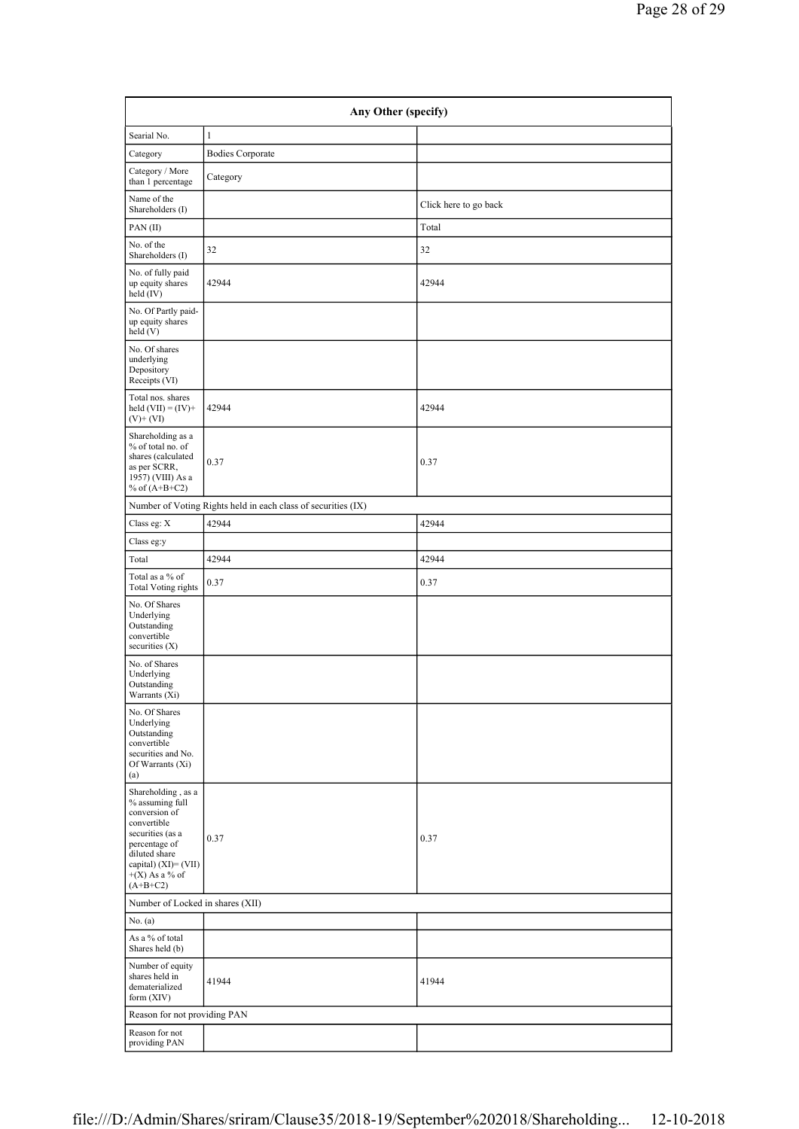| Any Other (specify)                                                                                                                                                                      |                                                               |                       |  |  |  |
|------------------------------------------------------------------------------------------------------------------------------------------------------------------------------------------|---------------------------------------------------------------|-----------------------|--|--|--|
| Searial No.                                                                                                                                                                              | $\mathbf{1}$                                                  |                       |  |  |  |
| Category                                                                                                                                                                                 | <b>Bodies Corporate</b>                                       |                       |  |  |  |
| Category / More<br>than 1 percentage                                                                                                                                                     | Category                                                      |                       |  |  |  |
| Name of the<br>Shareholders (I)                                                                                                                                                          |                                                               | Click here to go back |  |  |  |
| PAN(II)                                                                                                                                                                                  |                                                               | Total                 |  |  |  |
| No. of the<br>Shareholders (I)                                                                                                                                                           | 32                                                            | 32                    |  |  |  |
| No. of fully paid<br>up equity shares<br>held (IV)                                                                                                                                       | 42944                                                         | 42944                 |  |  |  |
| No. Of Partly paid-<br>up equity shares<br>held(V)                                                                                                                                       |                                                               |                       |  |  |  |
| No. Of shares<br>underlying<br>Depository<br>Receipts (VI)                                                                                                                               |                                                               |                       |  |  |  |
| Total nos. shares<br>held $(VII) = (IV) +$<br>$(V)$ + $(VI)$                                                                                                                             | 42944                                                         | 42944                 |  |  |  |
| Shareholding as a<br>% of total no. of<br>shares (calculated<br>as per SCRR,<br>1957) (VIII) As a<br>% of $(A+B+C2)$                                                                     | 0.37                                                          | 0.37                  |  |  |  |
|                                                                                                                                                                                          | Number of Voting Rights held in each class of securities (IX) |                       |  |  |  |
| Class eg: $\mathbf X$                                                                                                                                                                    | 42944                                                         | 42944                 |  |  |  |
| Class eg:y                                                                                                                                                                               |                                                               |                       |  |  |  |
| Total                                                                                                                                                                                    | 42944                                                         | 42944                 |  |  |  |
| Total as a % of<br>Total Voting rights                                                                                                                                                   | 0.37                                                          | 0.37                  |  |  |  |
| No. Of Shares<br>Underlying<br>Outstanding<br>convertible<br>securities $(X)$                                                                                                            |                                                               |                       |  |  |  |
| No. of Shares<br>Underlying<br>Outstanding<br>Warrants (Xi)                                                                                                                              |                                                               |                       |  |  |  |
| No. Of Shares<br>Underlying<br>Outstanding<br>convertible<br>securities and No.<br>Of Warrants (Xi)<br>(a)                                                                               |                                                               |                       |  |  |  |
| Shareholding, as a<br>% assuming full<br>conversion of<br>convertible<br>securities (as a<br>percentage of<br>diluted share<br>capital) $(XI) = (VII)$<br>$+(X)$ As a % of<br>$(A+B+C2)$ | 0.37                                                          | 0.37                  |  |  |  |
| Number of Locked in shares (XII)                                                                                                                                                         |                                                               |                       |  |  |  |
| No. (a)                                                                                                                                                                                  |                                                               |                       |  |  |  |
| As a % of total<br>Shares held (b)                                                                                                                                                       |                                                               |                       |  |  |  |
| Number of equity<br>shares held in<br>dematerialized<br>form (XIV)                                                                                                                       | 41944                                                         | 41944                 |  |  |  |
| Reason for not providing PAN                                                                                                                                                             |                                                               |                       |  |  |  |
| Reason for not<br>providing PAN                                                                                                                                                          |                                                               |                       |  |  |  |